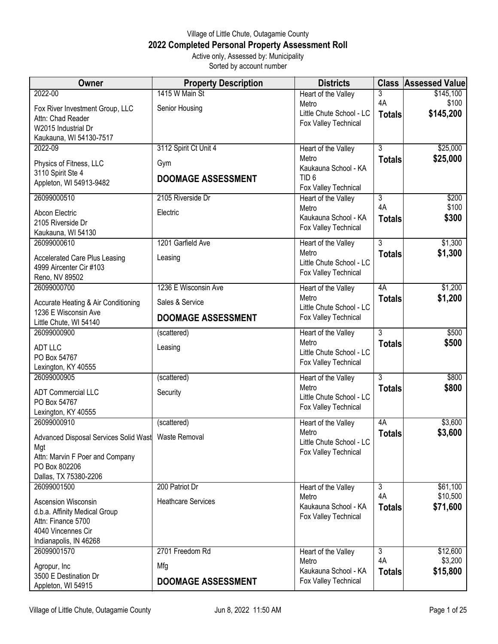## Village of Little Chute, Outagamie County **2022 Completed Personal Property Assessment Roll** Active only, Assessed by: Municipality

Sorted by account number

| Owner                                                           | <b>Property Description</b> | <b>Districts</b>                             |                      | <b>Class Assessed Value</b> |
|-----------------------------------------------------------------|-----------------------------|----------------------------------------------|----------------------|-----------------------------|
| 2022-00                                                         | 1415 W Main St              | Heart of the Valley                          | 3                    | \$145,100                   |
| Fox River Investment Group, LLC                                 | Senior Housing              | Metro                                        | 4A                   | \$100                       |
| Attn: Chad Reader                                               |                             | Little Chute School - LC                     | <b>Totals</b>        | \$145,200                   |
| W2015 Industrial Dr                                             |                             | Fox Valley Technical                         |                      |                             |
| Kaukauna, WI 54130-7517                                         |                             |                                              |                      |                             |
| 2022-09                                                         | 3112 Spirit Ct Unit 4       | Heart of the Valley                          | 3                    | \$25,000                    |
| Physics of Fitness, LLC                                         | Gym                         | Metro                                        | <b>Totals</b>        | \$25,000                    |
| 3110 Spirit Ste 4                                               |                             | Kaukauna School - KA<br>TID <sub>6</sub>     |                      |                             |
| Appleton, WI 54913-9482                                         | <b>DOOMAGE ASSESSMENT</b>   | Fox Valley Technical                         |                      |                             |
| 26099000510                                                     | 2105 Riverside Dr           | Heart of the Valley                          | 3                    | \$200                       |
| Abcon Electric                                                  | Electric                    | Metro                                        | 4A                   | \$100                       |
| 2105 Riverside Dr                                               |                             | Kaukauna School - KA                         | <b>Totals</b>        | \$300                       |
| Kaukauna, WI 54130                                              |                             | Fox Valley Technical                         |                      |                             |
| 26099000610                                                     | 1201 Garfield Ave           | Heart of the Valley                          | $\overline{3}$       | \$1,300                     |
|                                                                 | Leasing                     | Metro                                        | <b>Totals</b>        | \$1,300                     |
| <b>Accelerated Care Plus Leasing</b><br>4999 Aircenter Cir #103 |                             | Little Chute School - LC                     |                      |                             |
| Reno, NV 89502                                                  |                             | Fox Valley Technical                         |                      |                             |
| 26099000700                                                     | 1236 E Wisconsin Ave        | Heart of the Valley                          | 4A                   | \$1,200                     |
| Accurate Heating & Air Conditioning                             | Sales & Service             | Metro                                        | <b>Totals</b>        | \$1,200                     |
| 1236 E Wisconsin Ave                                            |                             | Little Chute School - LC                     |                      |                             |
| Little Chute, WI 54140                                          | <b>DOOMAGE ASSESSMENT</b>   | Fox Valley Technical                         |                      |                             |
| 26099000900                                                     | (scattered)                 | Heart of the Valley                          | 3                    | \$500                       |
| <b>ADT LLC</b>                                                  | Leasing                     | Metro                                        | <b>Totals</b>        | \$500                       |
| PO Box 54767                                                    |                             | Little Chute School - LC                     |                      |                             |
| Lexington, KY 40555                                             |                             | Fox Valley Technical                         |                      |                             |
| 26099000905                                                     | (scattered)                 | Heart of the Valley                          | $\overline{3}$       | \$800                       |
| <b>ADT Commercial LLC</b>                                       | Security                    | Metro                                        | <b>Totals</b>        | \$800                       |
| PO Box 54767                                                    |                             | Little Chute School - LC                     |                      |                             |
| Lexington, KY 40555                                             |                             | Fox Valley Technical                         |                      |                             |
| 26099000910                                                     | (scattered)                 | Heart of the Valley                          | 4A                   | \$3,600                     |
| Advanced Disposal Services Solid Wast   Waste Removal           |                             | Metro                                        | <b>Totals</b>        | \$3,600                     |
| Mgt                                                             |                             | Little Chute School - LC                     |                      |                             |
| Attn: Marvin F Poer and Company                                 |                             | Fox Valley Technical                         |                      |                             |
| PO Box 802206                                                   |                             |                                              |                      |                             |
| Dallas, TX 75380-2206                                           |                             |                                              |                      |                             |
| 26099001500                                                     | 200 Patriot Dr              | Heart of the Valley                          | 3                    | \$61,100                    |
| Ascension Wisconsin                                             | <b>Heathcare Services</b>   | Metro                                        | 4A                   | \$10,500                    |
| d.b.a. Affinity Medical Group                                   |                             | Kaukauna School - KA<br>Fox Valley Technical | <b>Totals</b>        | \$71,600                    |
| Attn: Finance 5700                                              |                             |                                              |                      |                             |
| 4040 Vincennes Cir                                              |                             |                                              |                      |                             |
| Indianapolis, IN 46268                                          |                             |                                              |                      |                             |
| 26099001570                                                     | 2701 Freedom Rd             | Heart of the Valley<br>Metro                 | $\overline{3}$<br>4A | \$12,600<br>\$3,200         |
| Agropur, Inc                                                    | Mfg                         | Kaukauna School - KA                         | <b>Totals</b>        | \$15,800                    |
| 3500 E Destination Dr                                           | <b>DOOMAGE ASSESSMENT</b>   | Fox Valley Technical                         |                      |                             |
| Appleton, WI 54915                                              |                             |                                              |                      |                             |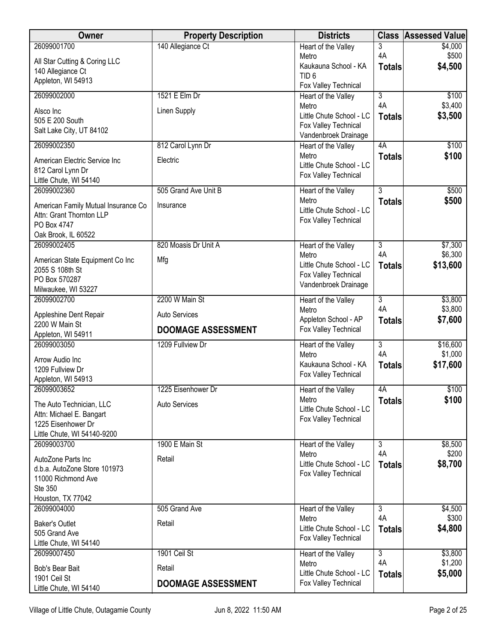| Owner                                   | <b>Property Description</b> | <b>Districts</b>                             | <b>Class</b>   | <b>Assessed Value</b> |
|-----------------------------------------|-----------------------------|----------------------------------------------|----------------|-----------------------|
| 26099001700                             | 140 Allegiance Ct           | Heart of the Valley                          | 3              | \$4,000               |
| All Star Cutting & Coring LLC           |                             | Metro                                        | 4A             | \$500                 |
| 140 Allegiance Ct                       |                             | Kaukauna School - KA<br>TID <sub>6</sub>     | <b>Totals</b>  | \$4,500               |
| Appleton, WI 54913                      |                             | Fox Valley Technical                         |                |                       |
| 26099002000                             | 1521 E Elm Dr               | Heart of the Valley                          | 3              | \$100                 |
|                                         |                             | Metro                                        | 4A             | \$3,400               |
| Alsco Inc                               | <b>Linen Supply</b>         | Little Chute School - LC                     | <b>Totals</b>  | \$3,500               |
| 505 E 200 South                         |                             | Fox Valley Technical                         |                |                       |
| Salt Lake City, UT 84102                |                             | Vandenbroek Drainage                         |                |                       |
| 26099002350                             | 812 Carol Lynn Dr           | Heart of the Valley                          | 4A             | \$100                 |
| American Electric Service Inc           | Electric                    | Metro                                        | <b>Totals</b>  | \$100                 |
| 812 Carol Lynn Dr                       |                             | Little Chute School - LC                     |                |                       |
| Little Chute, WI 54140                  |                             | Fox Valley Technical                         |                |                       |
| 26099002360                             | 505 Grand Ave Unit B        | Heart of the Valley                          | $\overline{3}$ | \$500                 |
| American Family Mutual Insurance Co     | Insurance                   | Metro                                        | <b>Totals</b>  | \$500                 |
| Attn: Grant Thornton LLP                |                             | Little Chute School - LC                     |                |                       |
| PO Box 4747                             |                             | Fox Valley Technical                         |                |                       |
| Oak Brook, IL 60522                     |                             |                                              |                |                       |
| 26099002405                             | 820 Moasis Dr Unit A        | Heart of the Valley                          | $\overline{3}$ | \$7,300               |
| American State Equipment Co Inc         | Mfg                         | Metro                                        | 4A             | \$6,300               |
| 2055 S 108th St                         |                             | Little Chute School - LC                     | <b>Totals</b>  | \$13,600              |
| PO Box 570287                           |                             | Fox Valley Technical<br>Vandenbroek Drainage |                |                       |
| Milwaukee, WI 53227                     |                             |                                              |                |                       |
| 26099002700                             | 2200 W Main St              | Heart of the Valley                          | $\overline{3}$ | \$3,800               |
| Appleshine Dent Repair                  | Auto Services               | Metro<br>Appleton School - AP                | 4A             | \$3,800               |
| 2200 W Main St                          | <b>DOOMAGE ASSESSMENT</b>   | Fox Valley Technical                         | <b>Totals</b>  | \$7,600               |
| Appleton, WI 54911                      |                             |                                              |                |                       |
| 26099003050                             | 1209 Fullview Dr            | Heart of the Valley                          | 3<br>4A        | \$16,600              |
| Arrow Audio Inc                         |                             | Metro<br>Kaukauna School - KA                |                | \$1,000<br>\$17,600   |
| 1209 Fullview Dr                        |                             | Fox Valley Technical                         | <b>Totals</b>  |                       |
| Appleton, WI 54913                      |                             |                                              |                |                       |
| 26099003652                             | 1225 Eisenhower Dr          | Heart of the Valley                          | 4A             | \$100                 |
| The Auto Technician, LLC                | <b>Auto Services</b>        | Metro<br>Little Chute School - LC            | <b>Totals</b>  | \$100                 |
| Attn: Michael E. Bangart                |                             | Fox Valley Technical                         |                |                       |
| 1225 Eisenhower Dr                      |                             |                                              |                |                       |
| Little Chute, WI 54140-9200             |                             |                                              |                |                       |
| 26099003700                             | 1900 E Main St              | Heart of the Valley<br>Metro                 | 3<br>4A        | \$8,500<br>\$200      |
| AutoZone Parts Inc                      | Retail                      | Little Chute School - LC                     | <b>Totals</b>  | \$8,700               |
| d.b.a. AutoZone Store 101973            |                             | Fox Valley Technical                         |                |                       |
| 11000 Richmond Ave                      |                             |                                              |                |                       |
| Ste 350<br>Houston, TX 77042            |                             |                                              |                |                       |
| 26099004000                             | 505 Grand Ave               | Heart of the Valley                          | $\overline{3}$ | \$4,500               |
|                                         |                             | Metro                                        | 4A             | \$300                 |
| <b>Baker's Outlet</b>                   | Retail                      | Little Chute School - LC                     | <b>Totals</b>  | \$4,800               |
| 505 Grand Ave<br>Little Chute, WI 54140 |                             | Fox Valley Technical                         |                |                       |
| 26099007450                             | 1901 Ceil St                | Heart of the Valley                          | $\overline{3}$ | \$3,800               |
|                                         |                             | Metro                                        | 4A             | \$1,200               |
| Bob's Bear Bait<br>1901 Ceil St         | Retail                      | Little Chute School - LC                     | <b>Totals</b>  | \$5,000               |
| Little Chute, WI 54140                  | <b>DOOMAGE ASSESSMENT</b>   | Fox Valley Technical                         |                |                       |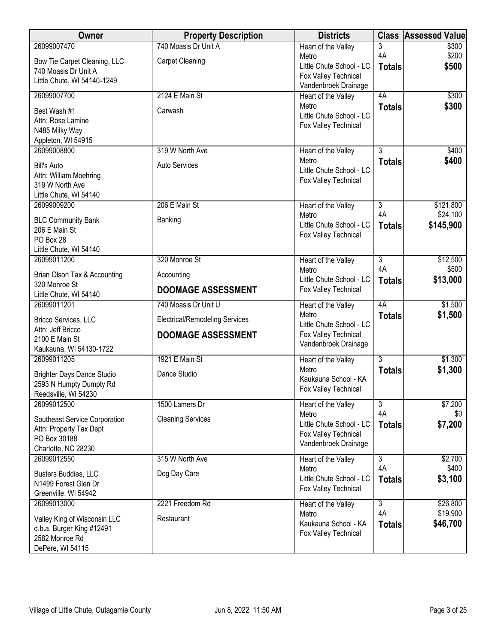| Owner                                           | <b>Property Description</b>           | <b>Districts</b>                                 | <b>Class</b>              | <b>Assessed Value</b> |
|-------------------------------------------------|---------------------------------------|--------------------------------------------------|---------------------------|-----------------------|
| 26099007470                                     | 740 Moasis Dr Unit A                  | Heart of the Valley                              | 3                         | \$300                 |
| Bow Tie Carpet Cleaning, LLC                    | <b>Carpet Cleaning</b>                | Metro<br>Little Chute School - LC                | 4A                        | \$200<br>\$500        |
| 740 Moasis Dr Unit A                            |                                       | Fox Valley Technical                             | <b>Totals</b>             |                       |
| Little Chute, WI 54140-1249                     |                                       | Vandenbroek Drainage                             |                           |                       |
| 26099007700                                     | 2124 E Main St                        | Heart of the Valley                              | 4A                        | \$300                 |
| Best Wash #1                                    | Carwash                               | Metro<br>Little Chute School - LC                | <b>Totals</b>             | \$300                 |
| Attn: Rose Lamine                               |                                       | Fox Valley Technical                             |                           |                       |
| N485 Milky Way<br>Appleton, WI 54915            |                                       |                                                  |                           |                       |
| 26099008800                                     | 319 W North Ave                       | Heart of the Valley                              | $\overline{3}$            | \$400                 |
| <b>Bill's Auto</b>                              | <b>Auto Services</b>                  | Metro                                            | <b>Totals</b>             | \$400                 |
| Attn: William Moehring                          |                                       | Little Chute School - LC                         |                           |                       |
| 319 W North Ave                                 |                                       | Fox Valley Technical                             |                           |                       |
| Little Chute, WI 54140                          |                                       |                                                  |                           |                       |
| 26099009200                                     | 206 E Main St                         | Heart of the Valley<br>Metro                     | $\overline{3}$<br>4A      | \$121,800<br>\$24,100 |
| <b>BLC Community Bank</b>                       | Banking                               | Little Chute School - LC                         | <b>Totals</b>             | \$145,900             |
| 206 E Main St<br>PO Box 28                      |                                       | Fox Valley Technical                             |                           |                       |
| Little Chute, WI 54140                          |                                       |                                                  |                           |                       |
| 26099011200                                     | 320 Monroe St                         | Heart of the Valley                              | $\overline{3}$            | \$12,500              |
| Brian Olson Tax & Accounting                    | Accounting                            | Metro                                            | 4A                        | \$500                 |
| 320 Monroe St                                   | <b>DOOMAGE ASSESSMENT</b>             | Little Chute School - LC<br>Fox Valley Technical | <b>Totals</b>             | \$13,000              |
| Little Chute, WI 54140<br>26099011201           | 740 Moasis Dr Unit U                  | Heart of the Valley                              | 4A                        | \$1,500               |
|                                                 |                                       | Metro                                            | <b>Totals</b>             | \$1,500               |
| Bricco Services, LLC<br>Attn: Jeff Bricco       | <b>Electrical/Remodeling Services</b> | Little Chute School - LC                         |                           |                       |
| 2100 E Main St                                  | <b>DOOMAGE ASSESSMENT</b>             | Fox Valley Technical<br>Vandenbroek Drainage     |                           |                       |
| Kaukauna, WI 54130-1722                         |                                       |                                                  |                           |                       |
| 26099011205                                     | 1921 E Main St                        | Heart of the Valley<br>Metro                     | $\overline{3}$            | \$1,300<br>\$1,300    |
| <b>Brighter Days Dance Studio</b>               | Dance Studio                          | Kaukauna School - KA                             | <b>Totals</b>             |                       |
| 2593 N Humpty Dumpty Rd<br>Reedsville, WI 54230 |                                       | Fox Valley Technical                             |                           |                       |
| 26099012500                                     | 1500 Lamers Dr                        | Heart of the Valley                              | 3                         | \$7,200               |
| Southeast Service Corporation                   | <b>Cleaning Services</b>              | Metro                                            | 4A                        | \$0                   |
| Attn: Property Tax Dept                         |                                       | Little Chute School - LC                         | <b>Totals</b>             | \$7,200               |
| PO Box 30188                                    |                                       | Fox Valley Technical<br>Vandenbroek Drainage     |                           |                       |
| Charlotte, NC 28230                             |                                       |                                                  |                           |                       |
| 26099012550                                     | 315 W North Ave                       | Heart of the Valley<br>Metro                     | $\overline{3}$<br>4A      | \$2,700<br>\$400      |
| Busters Buddies, LLC<br>N1499 Forest Glen Dr    | Dog Day Care                          | Little Chute School - LC                         | <b>Totals</b>             | \$3,100               |
| Greenville, WI 54942                            |                                       | Fox Valley Technical                             |                           |                       |
| 26099013000                                     | 2221 Freedom Rd                       | Heart of the Valley                              | $\overline{\overline{3}}$ | \$26,800              |
| Valley King of Wisconsin LLC                    | Restaurant                            | Metro                                            | 4A                        | \$19,900              |
| d.b.a. Burger King #12491                       |                                       | Kaukauna School - KA<br>Fox Valley Technical     | <b>Totals</b>             | \$46,700              |
| 2582 Monroe Rd                                  |                                       |                                                  |                           |                       |
| DePere, WI 54115                                |                                       |                                                  |                           |                       |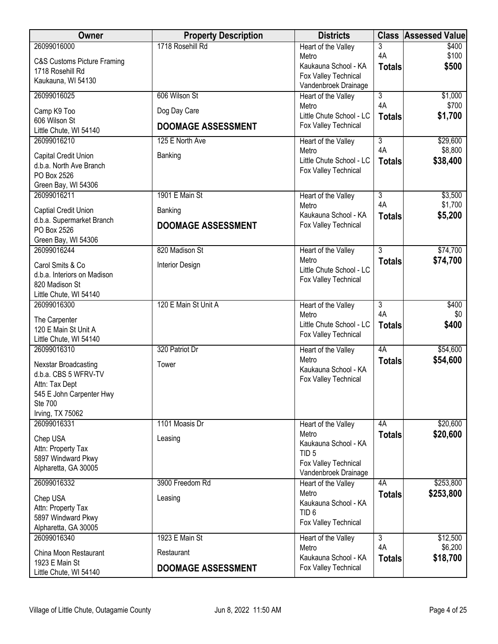| Owner                                    | <b>Property Description</b> | <b>Districts</b>                             | <b>Class</b>         | <b>Assessed Value</b> |
|------------------------------------------|-----------------------------|----------------------------------------------|----------------------|-----------------------|
| 26099016000                              | 1718 Rosehill Rd            | Heart of the Valley                          | 3<br>4A              | \$400                 |
| C&S Customs Picture Framing              |                             | Metro<br>Kaukauna School - KA                | <b>Totals</b>        | \$100<br>\$500        |
| 1718 Rosehill Rd                         |                             | Fox Valley Technical                         |                      |                       |
| Kaukauna, WI 54130                       |                             | Vandenbroek Drainage                         |                      |                       |
| 26099016025                              | 606 Wilson St               | Heart of the Valley                          | $\overline{3}$<br>4A | \$1,000<br>\$700      |
| Camp K9 Too                              | Dog Day Care                | Metro<br>Little Chute School - LC            | <b>Totals</b>        | \$1,700               |
| 606 Wilson St<br>Little Chute, WI 54140  | <b>DOOMAGE ASSESSMENT</b>   | Fox Valley Technical                         |                      |                       |
| 26099016210                              | 125 E North Ave             | Heart of the Valley                          | $\overline{3}$       | \$29,600              |
| Capital Credit Union                     | Banking                     | Metro                                        | 4A                   | \$8,800               |
| d.b.a. North Ave Branch                  |                             | Little Chute School - LC                     | <b>Totals</b>        | \$38,400              |
| PO Box 2526                              |                             | Fox Valley Technical                         |                      |                       |
| Green Bay, WI 54306                      |                             |                                              |                      |                       |
| 26099016211                              | 1901 E Main St              | Heart of the Valley<br>Metro                 | $\overline{3}$<br>4A | \$3,500<br>\$1,700    |
| Captial Credit Union                     | Banking                     | Kaukauna School - KA                         | <b>Totals</b>        | \$5,200               |
| d.b.a. Supermarket Branch<br>PO Box 2526 | <b>DOOMAGE ASSESSMENT</b>   | Fox Valley Technical                         |                      |                       |
| Green Bay, WI 54306                      |                             |                                              |                      |                       |
| 26099016244                              | 820 Madison St              | Heart of the Valley                          | $\overline{3}$       | \$74,700              |
| Carol Smits & Co                         | Interior Design             | Metro<br>Little Chute School - LC            | <b>Totals</b>        | \$74,700              |
| d.b.a. Interiors on Madison              |                             | Fox Valley Technical                         |                      |                       |
| 820 Madison St<br>Little Chute, WI 54140 |                             |                                              |                      |                       |
| 26099016300                              | 120 E Main St Unit A        | Heart of the Valley                          | $\overline{3}$       | \$400                 |
| The Carpenter                            |                             | Metro                                        | 4A                   | \$0                   |
| 120 E Main St Unit A                     |                             | Little Chute School - LC                     | <b>Totals</b>        | \$400                 |
| Little Chute, WI 54140                   |                             | Fox Valley Technical                         |                      |                       |
| 26099016310                              | 320 Patriot Dr              | Heart of the Valley                          | 4A                   | \$54,600              |
| Nexstar Broadcasting                     | Tower                       | Metro<br>Kaukauna School - KA                | <b>Totals</b>        | \$54,600              |
| d.b.a. CBS 5 WFRV-TV<br>Attn: Tax Dept   |                             | Fox Valley Technical                         |                      |                       |
| 545 E John Carpenter Hwy                 |                             |                                              |                      |                       |
| <b>Ste 700</b>                           |                             |                                              |                      |                       |
| Irving, TX 75062                         |                             |                                              |                      |                       |
| 26099016331                              | 1101 Moasis Dr              | Heart of the Valley<br>Metro                 | 4A<br><b>Totals</b>  | \$20,600<br>\$20,600  |
| Chep USA<br>Attn: Property Tax           | Leasing                     | Kaukauna School - KA                         |                      |                       |
| 5897 Windward Pkwy                       |                             | TID <sub>5</sub>                             |                      |                       |
| Alpharetta, GA 30005                     |                             | Fox Valley Technical<br>Vandenbroek Drainage |                      |                       |
| 26099016332                              | 3900 Freedom Rd             | Heart of the Valley                          | 4A                   | \$253,800             |
| Chep USA                                 | Leasing                     | Metro                                        | <b>Totals</b>        | \$253,800             |
| Attn: Property Tax                       |                             | Kaukauna School - KA<br>TID <sub>6</sub>     |                      |                       |
| 5897 Windward Pkwy                       |                             | Fox Valley Technical                         |                      |                       |
| Alpharetta, GA 30005<br>26099016340      | 1923 E Main St              |                                              | $\overline{3}$       | \$12,500              |
|                                          |                             | Heart of the Valley<br>Metro                 | 4A                   | \$6,200               |
| China Moon Restaurant<br>1923 E Main St  | Restaurant                  | Kaukauna School - KA                         | <b>Totals</b>        | \$18,700              |
| Little Chute, WI 54140                   | <b>DOOMAGE ASSESSMENT</b>   | Fox Valley Technical                         |                      |                       |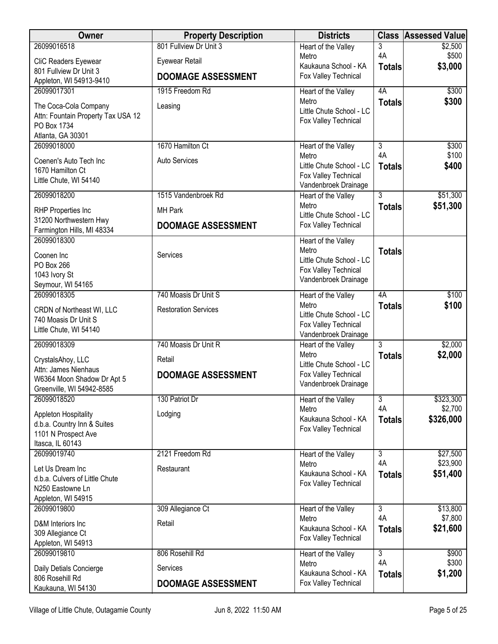| <b>Owner</b>                                                                                         | <b>Property Description</b>         | <b>Districts</b>                                                                                         | <b>Class</b>        | <b>Assessed Value</b> |
|------------------------------------------------------------------------------------------------------|-------------------------------------|----------------------------------------------------------------------------------------------------------|---------------------|-----------------------|
| 26099016518                                                                                          | 801 Fullview Dr Unit 3              | Heart of the Valley                                                                                      | 3                   | \$2,500               |
| CliC Readers Eyewear                                                                                 | Eyewear Retail                      | Metro<br>Kaukauna School - KA                                                                            | 4A                  | \$500<br>\$3,000      |
| 801 Fullview Dr Unit 3<br>Appleton, WI 54913-9410                                                    | <b>DOOMAGE ASSESSMENT</b>           | Fox Valley Technical                                                                                     | <b>Totals</b>       |                       |
| 26099017301                                                                                          | 1915 Freedom Rd                     | Heart of the Valley                                                                                      | 4A                  | \$300                 |
| The Coca-Cola Company<br>Attn: Fountain Property Tax USA 12<br>PO Box 1734<br>Atlanta, GA 30301      | Leasing                             | Metro<br>Little Chute School - LC<br>Fox Valley Technical                                                | <b>Totals</b>       | \$300                 |
| 26099018000                                                                                          | 1670 Hamilton Ct                    | Heart of the Valley                                                                                      | 3                   | \$300                 |
| Coenen's Auto Tech Inc<br>1670 Hamilton Ct<br>Little Chute, WI 54140                                 | <b>Auto Services</b>                | Metro<br>Little Chute School - LC<br>Fox Valley Technical<br>Vandenbroek Drainage                        | 4A<br><b>Totals</b> | \$100<br>\$400        |
| 26099018200                                                                                          | 1515 Vandenbroek Rd                 | Heart of the Valley                                                                                      | $\overline{3}$      | \$51,300              |
| RHP Properties Inc                                                                                   | <b>MH Park</b>                      | Metro<br>Little Chute School - LC                                                                        | <b>Totals</b>       | \$51,300              |
| 31200 Northwestern Hwy<br>Farmington Hills, MI 48334                                                 | <b>DOOMAGE ASSESSMENT</b>           | Fox Valley Technical                                                                                     |                     |                       |
| 26099018300<br>Coonen Inc<br>PO Box 266<br>1043 Ivory St<br>Seymour, WI 54165                        | Services                            | Heart of the Valley<br>Metro<br>Little Chute School - LC<br>Fox Valley Technical<br>Vandenbroek Drainage | <b>Totals</b>       |                       |
| 26099018305                                                                                          | 740 Moasis Dr Unit S                | Heart of the Valley                                                                                      | 4A                  | \$100                 |
| CRDN of Northeast WI, LLC<br>740 Moasis Dr Unit S<br>Little Chute, WI 54140                          | <b>Restoration Services</b>         | Metro<br>Little Chute School - LC<br>Fox Valley Technical<br>Vandenbroek Drainage                        | <b>Totals</b>       | \$100                 |
| 26099018309                                                                                          | 740 Moasis Dr Unit R                | Heart of the Valley                                                                                      | 3                   | \$2,000               |
| CrystalsAhoy, LLC<br>Attn: James Nienhaus<br>W6364 Moon Shadow Dr Apt 5<br>Greenville, WI 54942-8585 | Retail<br><b>DOOMAGE ASSESSMENT</b> | Metro<br>Little Chute School - LC<br>Fox Valley Technical<br>Vandenbroek Drainage                        | <b>Totals</b>       | \$2,000               |
| 26099018520                                                                                          | 130 Patriot Dr                      | Heart of the Valley                                                                                      | 3                   | \$323,300             |
| Appleton Hospitality<br>d.b.a. Country Inn & Suites<br>1101 N Prospect Ave<br>Itasca, IL 60143       | Lodging                             | Metro<br>Kaukauna School - KA<br>Fox Valley Technical                                                    | 4A<br><b>Totals</b> | \$2,700<br>\$326,000  |
| 26099019740                                                                                          | 2121 Freedom Rd                     | Heart of the Valley                                                                                      | $\overline{3}$      | \$27,500              |
| Let Us Dream Inc<br>d.b.a. Culvers of Little Chute<br>N250 Eastowne Ln<br>Appleton, WI 54915         | Restaurant                          | Metro<br>Kaukauna School - KA<br>Fox Valley Technical                                                    | 4A<br><b>Totals</b> | \$23,900<br>\$51,400  |
| 26099019800                                                                                          | 309 Allegiance Ct                   | Heart of the Valley                                                                                      | 3                   | \$13,800              |
| D&M Interiors Inc<br>309 Allegiance Ct<br>Appleton, WI 54913                                         | Retail                              | Metro<br>Kaukauna School - KA<br>Fox Valley Technical                                                    | 4A<br><b>Totals</b> | \$7,800<br>\$21,600   |
| 26099019810                                                                                          | 806 Rosehill Rd                     | Heart of the Valley                                                                                      | $\overline{3}$      | \$900                 |
| Daily Detials Concierge                                                                              | Services                            | Metro<br>Kaukauna School - KA                                                                            | 4A<br><b>Totals</b> | \$300<br>\$1,200      |
| 806 Rosehill Rd<br>Kaukauna, WI 54130                                                                | <b>DOOMAGE ASSESSMENT</b>           | Fox Valley Technical                                                                                     |                     |                       |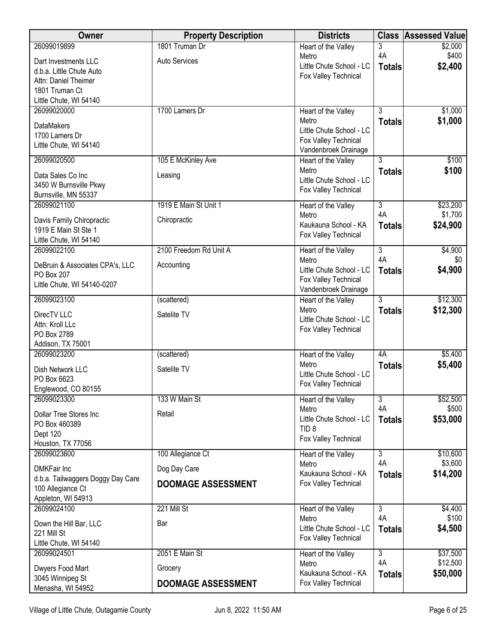| Owner                                          | <b>Property Description</b> | <b>Districts</b>                                 | <b>Class</b>         | <b>Assessed Value</b> |
|------------------------------------------------|-----------------------------|--------------------------------------------------|----------------------|-----------------------|
| 26099019899                                    | 1801 Truman Dr              | Heart of the Valley                              | 3                    | \$2,000               |
| Dart Investments LLC                           | Auto Services               | Metro<br>Little Chute School - LC                | 4A                   | \$400                 |
| d.b.a. Little Chute Auto                       |                             | Fox Valley Technical                             | <b>Totals</b>        | \$2,400               |
| Attn: Daniel Theimer<br>1801 Truman Ct         |                             |                                                  |                      |                       |
| Little Chute, WI 54140                         |                             |                                                  |                      |                       |
| 26099020000                                    | 1700 Lamers Dr              | Heart of the Valley                              | $\overline{3}$       | \$1,000               |
| <b>DataMakers</b>                              |                             | Metro                                            | <b>Totals</b>        | \$1,000               |
| 1700 Lamers Dr                                 |                             | Little Chute School - LC                         |                      |                       |
| Little Chute, WI 54140                         |                             | Fox Valley Technical<br>Vandenbroek Drainage     |                      |                       |
| 26099020500                                    | 105 E McKinley Ave          | Heart of the Valley                              | $\overline{3}$       | \$100                 |
| Data Sales Co Inc                              | Leasing                     | Metro<br>Little Chute School - LC                | <b>Totals</b>        | \$100                 |
| 3450 W Burnsville Pkwy                         |                             | Fox Valley Technical                             |                      |                       |
| Burnsville, MN 55337                           |                             |                                                  |                      |                       |
| 26099021100                                    | 1919 E Main St Unit 1       | Heart of the Valley<br>Metro                     | $\overline{3}$<br>4A | \$23,200<br>\$1,700   |
| Davis Family Chiropractic                      | Chiropractic                | Kaukauna School - KA                             | <b>Totals</b>        | \$24,900              |
| 1919 E Main St Ste 1<br>Little Chute, WI 54140 |                             | Fox Valley Technical                             |                      |                       |
| 26099022100                                    | 2100 Freedom Rd Unit A      | Heart of the Valley                              | $\overline{3}$       | \$4,900               |
| DeBruin & Associates CPA's, LLC                | Accounting                  | Metro                                            | 4A                   | \$0                   |
| <b>PO Box 207</b>                              |                             | Little Chute School - LC                         | <b>Totals</b>        | \$4,900               |
| Little Chute, WI 54140-0207                    |                             | Fox Valley Technical<br>Vandenbroek Drainage     |                      |                       |
| 26099023100                                    | (scattered)                 | Heart of the Valley                              | $\overline{3}$       | \$12,300              |
| DirecTV LLC                                    | Satelite TV                 | Metro                                            | <b>Totals</b>        | \$12,300              |
| Attn: Kroll LLc                                |                             | Little Chute School - LC<br>Fox Valley Technical |                      |                       |
| PO Box 2789                                    |                             |                                                  |                      |                       |
| Addison, TX 75001<br>26099023200               | (scattered)                 | Heart of the Valley                              | 4A                   | \$5,400               |
|                                                |                             | Metro                                            | <b>Totals</b>        | \$5,400               |
| Dish Network LLC<br>PO Box 6623                | Satelite TV                 | Little Chute School - LC                         |                      |                       |
| Englewood, CO 80155                            |                             | Fox Valley Technical                             |                      |                       |
| 26099023300                                    | 133 W Main St               | Heart of the Valley                              | $\overline{3}$       | \$52,500              |
| Dollar Tree Stores Inc                         | Retail                      | Metro                                            | 4A                   | \$500                 |
| PO Box 460389                                  |                             | Little Chute School - LC<br>TID <sub>8</sub>     | <b>Totals</b>        | \$53,000              |
| Dept 120                                       |                             | Fox Valley Technical                             |                      |                       |
| Houston, TX 77056<br>26099023600               | 100 Allegiance Ct           | Heart of the Valley                              | $\overline{3}$       | \$10,600              |
| <b>DMKFair Inc</b>                             | Dog Day Care                | Metro                                            | 4A                   | \$3,600               |
| d.b.a. Tailwaggers Doggy Day Care              | <b>DOOMAGE ASSESSMENT</b>   | Kaukauna School - KA                             | <b>Totals</b>        | \$14,200              |
| 100 Allegiance Ct                              |                             | Fox Valley Technical                             |                      |                       |
| Appleton, WI 54913<br>26099024100              | 221 Mill St                 |                                                  | $\overline{3}$       |                       |
|                                                |                             | Heart of the Valley<br>Metro                     | 4A                   | \$4,400<br>\$100      |
| Down the Hill Bar, LLC<br>221 Mill St          | Bar                         | Little Chute School - LC                         | <b>Totals</b>        | \$4,500               |
| Little Chute, WI 54140                         |                             | Fox Valley Technical                             |                      |                       |
| 26099024501                                    | 2051 E Main St              | Heart of the Valley                              | $\overline{3}$       | \$37,500              |
| Dwyers Food Mart                               | Grocery                     | Metro                                            | 4A                   | \$12,500              |
| 3045 Winnipeg St                               |                             | Kaukauna School - KA<br>Fox Valley Technical     | <b>Totals</b>        | \$50,000              |
| Menasha, WI 54952                              | <b>DOOMAGE ASSESSMENT</b>   |                                                  |                      |                       |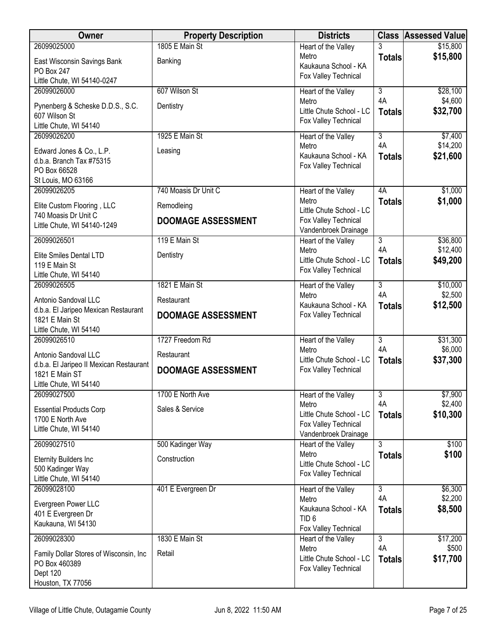| Owner                                                    | <b>Property Description</b> | <b>Districts</b>                                 |                      | <b>Class Assessed Value</b> |
|----------------------------------------------------------|-----------------------------|--------------------------------------------------|----------------------|-----------------------------|
| 26099025000                                              | 1805 E Main St              | Heart of the Valley                              |                      | \$15,800                    |
| East Wisconsin Savings Bank                              | Banking                     | Metro<br>Kaukauna School - KA                    | <b>Totals</b>        | \$15,800                    |
| PO Box 247                                               |                             | Fox Valley Technical                             |                      |                             |
| Little Chute, WI 54140-0247<br>26099026000               | 607 Wilson St               |                                                  | $\overline{3}$       | \$28,100                    |
|                                                          |                             | Heart of the Valley<br>Metro                     | 4A                   | \$4,600                     |
| Pynenberg & Scheske D.D.S., S.C.                         | Dentistry                   | Little Chute School - LC                         | <b>Totals</b>        | \$32,700                    |
| 607 Wilson St<br>Little Chute, WI 54140                  |                             | Fox Valley Technical                             |                      |                             |
| 26099026200                                              | 1925 E Main St              | Heart of the Valley                              | $\overline{3}$       | \$7,400                     |
| Edward Jones & Co., L.P.                                 | Leasing                     | Metro                                            | 4A                   | \$14,200                    |
| d.b.a. Branch Tax #75315                                 |                             | Kaukauna School - KA<br>Fox Valley Technical     | <b>Totals</b>        | \$21,600                    |
| PO Box 66528                                             |                             |                                                  |                      |                             |
| St Louis, MO 63166<br>26099026205                        | 740 Moasis Dr Unit C        | Heart of the Valley                              | 4A                   | \$1,000                     |
|                                                          |                             | Metro                                            | <b>Totals</b>        | \$1,000                     |
| Elite Custom Flooring, LLC<br>740 Moasis Dr Unit C       | Remodleing                  | Little Chute School - LC                         |                      |                             |
| Little Chute, WI 54140-1249                              | <b>DOOMAGE ASSESSMENT</b>   | Fox Valley Technical<br>Vandenbroek Drainage     |                      |                             |
| 26099026501                                              | 119 E Main St               | <b>Heart of the Valley</b>                       | $\overline{3}$       | \$36,800                    |
| <b>Elite Smiles Dental LTD</b>                           | Dentistry                   | Metro<br>Little Chute School - LC                | 4A                   | \$12,400                    |
| 119 E Main St                                            |                             | Fox Valley Technical                             | <b>Totals</b>        | \$49,200                    |
| Little Chute, WI 54140                                   |                             |                                                  |                      |                             |
| 26099026505                                              | 1821 E Main St              | Heart of the Valley<br>Metro                     | $\overline{3}$<br>4A | \$10,000<br>\$2,500         |
| Antonio Sandoval LLC                                     | Restaurant                  | Kaukauna School - KA                             | <b>Totals</b>        | \$12,500                    |
| d.b.a. El Jaripeo Mexican Restaurant<br>1821 E Main St   | <b>DOOMAGE ASSESSMENT</b>   | Fox Valley Technical                             |                      |                             |
| Little Chute, WI 54140                                   |                             |                                                  |                      |                             |
| 26099026510                                              | 1727 Freedom Rd             | Heart of the Valley                              | 3                    | \$31,300                    |
| Antonio Sandoval LLC                                     | Restaurant                  | Metro<br>Little Chute School - LC                | 4A<br><b>Totals</b>  | \$6,000<br>\$37,300         |
| d.b.a. El Jaripeo II Mexican Restaurant                  | <b>DOOMAGE ASSESSMENT</b>   | Fox Valley Technical                             |                      |                             |
| 1821 E Main ST<br>Little Chute, WI 54140                 |                             |                                                  |                      |                             |
| 26099027500                                              | 1700 E North Ave            | Heart of the Valley                              | $\overline{3}$       | \$7,900                     |
| <b>Essential Products Corp</b>                           | Sales & Service             | Metro                                            | 4A                   | \$2,400                     |
| 1700 E North Ave                                         |                             | Little Chute School - LC<br>Fox Valley Technical | <b>Totals</b>        | \$10,300                    |
| Little Chute, WI 54140                                   |                             | Vandenbroek Drainage                             |                      |                             |
| 26099027510                                              | 500 Kadinger Way            | Heart of the Valley                              | $\overline{3}$       | \$100                       |
| <b>Eternity Builders Inc</b>                             | Construction                | Metro                                            | <b>Totals</b>        | \$100                       |
| 500 Kadinger Way                                         |                             | Little Chute School - LC<br>Fox Valley Technical |                      |                             |
| Little Chute, WI 54140                                   |                             |                                                  |                      |                             |
| 26099028100                                              | 401 E Evergreen Dr          | Heart of the Valley<br>Metro                     | $\overline{3}$<br>4A | \$6,300<br>\$2,200          |
| Evergreen Power LLC                                      |                             | Kaukauna School - KA                             | <b>Totals</b>        | \$8,500                     |
| 401 E Evergreen Dr<br>Kaukauna, WI 54130                 |                             | TID <sub>6</sub>                                 |                      |                             |
|                                                          |                             | Fox Valley Technical                             |                      |                             |
| 26099028300                                              | 1830 E Main St              | Heart of the Valley<br>Metro                     | $\overline{3}$<br>4A | \$17,200<br>\$500           |
| Family Dollar Stores of Wisconsin, Inc.<br>PO Box 460389 | Retail                      | Little Chute School - LC                         | <b>Totals</b>        | \$17,700                    |
| Dept 120                                                 |                             | Fox Valley Technical                             |                      |                             |
| Houston, TX 77056                                        |                             |                                                  |                      |                             |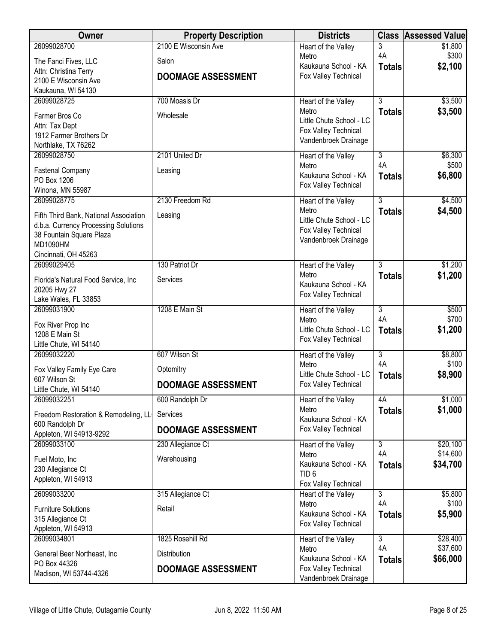| Owner                                                                          | <b>Property Description</b> | <b>Districts</b>                             | <b>Class</b>              | <b>Assessed Value</b> |
|--------------------------------------------------------------------------------|-----------------------------|----------------------------------------------|---------------------------|-----------------------|
| 26099028700                                                                    | 2100 E Wisconsin Ave        | Heart of the Valley                          | 3<br>4A                   | \$1,800<br>\$300      |
| The Fanci Fives, LLC                                                           | Salon                       | Metro<br>Kaukauna School - KA                | <b>Totals</b>             | \$2,100               |
| Attn: Christina Terry<br>2100 E Wisconsin Ave                                  | <b>DOOMAGE ASSESSMENT</b>   | Fox Valley Technical                         |                           |                       |
| Kaukauna, WI 54130                                                             |                             |                                              |                           |                       |
| 26099028725                                                                    | 700 Moasis Dr               | Heart of the Valley                          | $\overline{3}$            | \$3,500               |
| Farmer Bros Co                                                                 | Wholesale                   | Metro<br>Little Chute School - LC            | <b>Totals</b>             | \$3,500               |
| Attn: Tax Dept                                                                 |                             | Fox Valley Technical                         |                           |                       |
| 1912 Farmer Brothers Dr<br>Northlake, TX 76262                                 |                             | Vandenbroek Drainage                         |                           |                       |
| 26099028750                                                                    | 2101 United Dr              | Heart of the Valley                          | 3                         | \$6,300               |
| <b>Fastenal Company</b>                                                        | Leasing                     | Metro<br>Kaukauna School - KA                | 4A                        | \$500                 |
| PO Box 1206                                                                    |                             | Fox Valley Technical                         | <b>Totals</b>             | \$6,800               |
| Winona, MN 55987<br>26099028775                                                | 2130 Freedom Rd             |                                              | $\overline{3}$            | \$4,500               |
|                                                                                |                             | Heart of the Valley<br>Metro                 | <b>Totals</b>             | \$4,500               |
| Fifth Third Bank, National Association<br>d.b.a. Currency Processing Solutions | Leasing                     | Little Chute School - LC                     |                           |                       |
| 38 Fountain Square Plaza                                                       |                             | Fox Valley Technical<br>Vandenbroek Drainage |                           |                       |
| <b>MD1090HM</b>                                                                |                             |                                              |                           |                       |
| Cincinnati, OH 45263<br>26099029405                                            | 130 Patriot Dr              | Heart of the Valley                          | $\overline{3}$            | \$1,200               |
|                                                                                | Services                    | Metro                                        | <b>Totals</b>             | \$1,200               |
| Florida's Natural Food Service, Inc.<br>20205 Hwy 27                           |                             | Kaukauna School - KA                         |                           |                       |
| Lake Wales, FL 33853                                                           |                             | Fox Valley Technical                         |                           |                       |
| 26099031900                                                                    | 1208 E Main St              | Heart of the Valley<br>Metro                 | $\overline{3}$<br>4A      | \$500<br>\$700        |
| Fox River Prop Inc                                                             |                             | Little Chute School - LC                     | <b>Totals</b>             | \$1,200               |
| 1208 E Main St<br>Little Chute, WI 54140                                       |                             | Fox Valley Technical                         |                           |                       |
| 26099032220                                                                    | 607 Wilson St               | Heart of the Valley                          | $\overline{\overline{3}}$ | \$8,800               |
| Fox Valley Family Eye Care                                                     | Optomitry                   | Metro<br>Little Chute School - LC            | 4A                        | \$100                 |
| 607 Wilson St                                                                  | <b>DOOMAGE ASSESSMENT</b>   | Fox Valley Technical                         | <b>Totals</b>             | \$8,900               |
| Little Chute, WI 54140<br>26099032251                                          | 600 Randolph Dr             | Heart of the Valley                          | 4A                        | \$1,000               |
| Freedom Restoration & Remodeling, LL                                           | Services                    | Metro                                        | <b>Totals</b>             | \$1,000               |
| 600 Randolph Dr                                                                | <b>DOOMAGE ASSESSMENT</b>   | Kaukauna School - KA<br>Fox Valley Technical |                           |                       |
| Appleton, WI 54913-9292<br>26099033100                                         | 230 Allegiance Ct           | Heart of the Valley                          | 3                         | \$20,100              |
|                                                                                |                             | Metro                                        | 4A                        | \$14,600              |
| Fuel Moto, Inc<br>230 Allegiance Ct                                            | Warehousing                 | Kaukauna School - KA                         | <b>Totals</b>             | \$34,700              |
| Appleton, WI 54913                                                             |                             | TID <sub>6</sub><br>Fox Valley Technical     |                           |                       |
| 26099033200                                                                    | 315 Allegiance Ct           | Heart of the Valley                          | 3                         | \$5,800               |
| <b>Furniture Solutions</b>                                                     | Retail                      | Metro                                        | 4A                        | \$100                 |
| 315 Allegiance Ct                                                              |                             | Kaukauna School - KA<br>Fox Valley Technical | <b>Totals</b>             | \$5,900               |
| Appleton, WI 54913<br>26099034801                                              | 1825 Rosehill Rd            |                                              | $\overline{3}$            | \$28,400              |
|                                                                                |                             | Heart of the Valley<br>Metro                 | 4A                        | \$37,600              |
| General Beer Northeast, Inc<br>PO Box 44326                                    | Distribution                | Kaukauna School - KA                         | <b>Totals</b>             | \$66,000              |
| Madison, WI 53744-4326                                                         | <b>DOOMAGE ASSESSMENT</b>   | Fox Valley Technical<br>Vandenbroek Drainage |                           |                       |
|                                                                                |                             |                                              |                           |                       |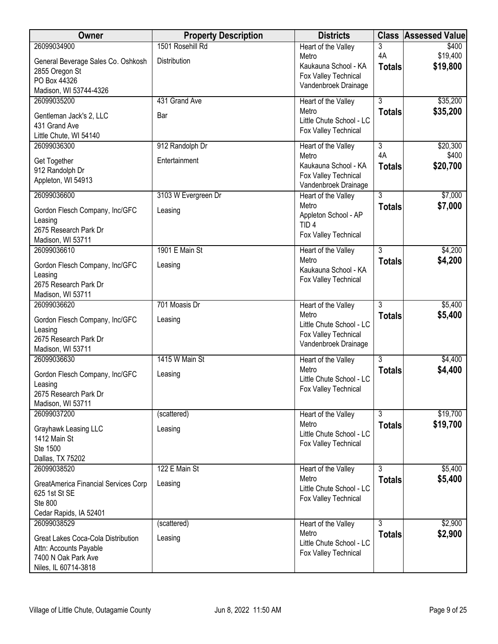| Owner                                                        | <b>Property Description</b> | <b>Districts</b>                            | <b>Class</b>   | <b>Assessed Value</b> |
|--------------------------------------------------------------|-----------------------------|---------------------------------------------|----------------|-----------------------|
| 26099034900                                                  | 1501 Rosehill Rd            | Heart of the Valley                         | 3              | \$400                 |
| General Beverage Sales Co. Oshkosh                           | Distribution                | Metro<br>Kaukauna School - KA               | 4A             | \$19,400<br>\$19,800  |
| 2855 Oregon St                                               |                             | Fox Valley Technical                        | <b>Totals</b>  |                       |
| PO Box 44326<br>Madison, WI 53744-4326                       |                             | Vandenbroek Drainage                        |                |                       |
| 26099035200                                                  | 431 Grand Ave               | Heart of the Valley                         | $\overline{3}$ | \$35,200              |
|                                                              |                             | Metro                                       | <b>Totals</b>  | \$35,200              |
| Gentleman Jack's 2, LLC<br>431 Grand Ave                     | Bar                         | Little Chute School - LC                    |                |                       |
| Little Chute, WI 54140                                       |                             | Fox Valley Technical                        |                |                       |
| 26099036300                                                  | 912 Randolph Dr             | Heart of the Valley                         | $\overline{3}$ | \$20,300              |
| Get Together                                                 | Entertainment               | Metro                                       | 4A             | \$400                 |
| 912 Randolph Dr                                              |                             | Kaukauna School - KA                        | <b>Totals</b>  | \$20,700              |
| Appleton, WI 54913                                           |                             | Fox Valley Technical                        |                |                       |
| 26099036600                                                  | 3103 W Evergreen Dr         | Vandenbroek Drainage<br>Heart of the Valley | 3              | \$7,000               |
|                                                              |                             | Metro                                       | <b>Totals</b>  | \$7,000               |
| Gordon Flesch Company, Inc/GFC                               | Leasing                     | Appleton School - AP                        |                |                       |
| Leasing<br>2675 Research Park Dr                             |                             | TID <sub>4</sub>                            |                |                       |
| Madison, WI 53711                                            |                             | Fox Valley Technical                        |                |                       |
| 26099036610                                                  | 1901 E Main St              | Heart of the Valley                         | 3              | \$4,200               |
| Gordon Flesch Company, Inc/GFC                               | Leasing                     | Metro                                       | <b>Totals</b>  | \$4,200               |
| Leasing                                                      |                             | Kaukauna School - KA                        |                |                       |
| 2675 Research Park Dr                                        |                             | Fox Valley Technical                        |                |                       |
| Madison, WI 53711                                            |                             |                                             |                |                       |
| 26099036620                                                  | 701 Moasis Dr               | Heart of the Valley                         | $\overline{3}$ | \$5,400               |
| Gordon Flesch Company, Inc/GFC                               | Leasing                     | Metro<br>Little Chute School - LC           | <b>Totals</b>  | \$5,400               |
| Leasing                                                      |                             | Fox Valley Technical                        |                |                       |
| 2675 Research Park Dr                                        |                             | Vandenbroek Drainage                        |                |                       |
| Madison, WI 53711<br>26099036630                             | 1415 W Main St              | Heart of the Valley                         | 3              | \$4,400               |
|                                                              |                             | Metro                                       | <b>Totals</b>  | \$4,400               |
| Gordon Flesch Company, Inc/GFC                               | Leasing                     | Little Chute School - LC                    |                |                       |
| Leasing<br>2675 Research Park Dr                             |                             | Fox Valley Technical                        |                |                       |
| Madison, WI 53711                                            |                             |                                             |                |                       |
| 26099037200                                                  | (scattered)                 | Heart of the Valley                         | $\overline{3}$ | \$19,700              |
| Grayhawk Leasing LLC                                         | Leasing                     | Metro                                       | <b>Totals</b>  | \$19,700              |
| 1412 Main St                                                 |                             | Little Chute School - LC                    |                |                       |
| Ste 1500                                                     |                             | Fox Valley Technical                        |                |                       |
| Dallas, TX 75202                                             |                             |                                             |                |                       |
| 26099038520                                                  | 122 E Main St               | Heart of the Valley                         | $\overline{3}$ | \$5,400               |
| GreatAmerica Financial Services Corp                         | Leasing                     | Metro<br>Little Chute School - LC           | <b>Totals</b>  | \$5,400               |
| 625 1st St SE                                                |                             | Fox Valley Technical                        |                |                       |
| Ste 800<br>Cedar Rapids, IA 52401                            |                             |                                             |                |                       |
| 26099038529                                                  | (scattered)                 | Heart of the Valley                         | $\overline{3}$ | \$2,900               |
|                                                              |                             | Metro                                       | <b>Totals</b>  | \$2,900               |
| Great Lakes Coca-Cola Distribution<br>Attn: Accounts Payable | Leasing                     | Little Chute School - LC                    |                |                       |
| 7400 N Oak Park Ave                                          |                             | Fox Valley Technical                        |                |                       |
| Niles, IL 60714-3818                                         |                             |                                             |                |                       |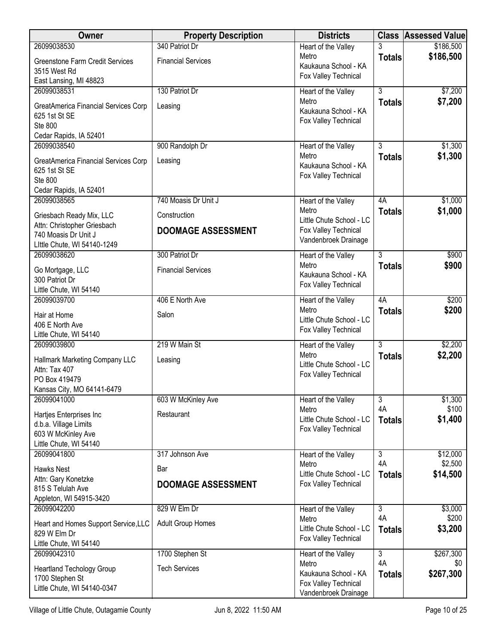| Owner                                               | <b>Property Description</b> | <b>Districts</b>                                 | <b>Class</b>   | <b>Assessed Value</b> |
|-----------------------------------------------------|-----------------------------|--------------------------------------------------|----------------|-----------------------|
| 26099038530                                         | 340 Patriot Dr              | Heart of the Valley                              |                | \$186,500             |
| <b>Greenstone Farm Credit Services</b>              | <b>Financial Services</b>   | Metro<br>Kaukauna School - KA                    | <b>Totals</b>  | \$186,500             |
| 3515 West Rd                                        |                             | Fox Valley Technical                             |                |                       |
| East Lansing, MI 48823<br>26099038531               | 130 Patriot Dr              |                                                  | $\overline{3}$ | \$7,200               |
|                                                     |                             | Heart of the Valley<br>Metro                     | <b>Totals</b>  | \$7,200               |
| GreatAmerica Financial Services Corp                | Leasing                     | Kaukauna School - KA                             |                |                       |
| 625 1st St SE<br>Ste 800                            |                             | Fox Valley Technical                             |                |                       |
| Cedar Rapids, IA 52401                              |                             |                                                  |                |                       |
| 26099038540                                         | 900 Randolph Dr             | Heart of the Valley                              | 3              | \$1,300               |
| GreatAmerica Financial Services Corp                | Leasing                     | Metro                                            | <b>Totals</b>  | \$1,300               |
| 625 1st St SE                                       |                             | Kaukauna School - KA                             |                |                       |
| Ste 800                                             |                             | Fox Valley Technical                             |                |                       |
| Cedar Rapids, IA 52401                              |                             |                                                  |                |                       |
| 26099038565                                         | 740 Moasis Dr Unit J        | Heart of the Valley                              | 4A             | \$1,000               |
| Griesbach Ready Mix, LLC                            | Construction                | Metro<br>Little Chute School - LC                | <b>Totals</b>  | \$1,000               |
| Attn: Christopher Griesbach                         | <b>DOOMAGE ASSESSMENT</b>   | Fox Valley Technical                             |                |                       |
| 740 Moasis Dr Unit J                                |                             | Vandenbroek Drainage                             |                |                       |
| Little Chute, WI 54140-1249<br>26099038620          | 300 Patriot Dr              | Heart of the Valley                              | $\overline{3}$ | \$900                 |
|                                                     |                             | Metro                                            | <b>Totals</b>  | \$900                 |
| Go Mortgage, LLC<br>300 Patriot Dr                  | <b>Financial Services</b>   | Kaukauna School - KA                             |                |                       |
| Little Chute, WI 54140                              |                             | Fox Valley Technical                             |                |                       |
| 26099039700                                         | 406 E North Ave             | Heart of the Valley                              | 4A             | \$200                 |
| Hair at Home                                        | Salon                       | Metro                                            | <b>Totals</b>  | \$200                 |
| 406 E North Ave                                     |                             | Little Chute School - LC                         |                |                       |
| Little Chute, WI 54140                              |                             | Fox Valley Technical                             |                |                       |
| 26099039800                                         | 219 W Main St               | Heart of the Valley                              | $\overline{3}$ | \$2,200               |
| Hallmark Marketing Company LLC                      | Leasing                     | Metro<br>Little Chute School - LC                | <b>Totals</b>  | \$2,200               |
| Attn: Tax 407                                       |                             | Fox Valley Technical                             |                |                       |
| PO Box 419479                                       |                             |                                                  |                |                       |
| Kansas City, MO 64141-6479<br>26099041000           | 603 W McKinley Ave          | Heart of the Valley                              | 3              | \$1,300               |
|                                                     |                             | Metro                                            | 4A             | \$100                 |
| Hartjes Enterprises Inc<br>d.b.a. Village Limits    | Restaurant                  | Little Chute School - LC                         | <b>Totals</b>  | \$1,400               |
| 603 W McKinley Ave                                  |                             | Fox Valley Technical                             |                |                       |
| Little Chute, WI 54140                              |                             |                                                  |                |                       |
| 26099041800                                         | 317 Johnson Ave             | Heart of the Valley                              | $\overline{3}$ | \$12,000              |
| Hawks Nest                                          | Bar                         | Metro                                            | 4A             | \$2,500               |
| Attn: Gary Konetzke                                 | <b>DOOMAGE ASSESSMENT</b>   | Little Chute School - LC<br>Fox Valley Technical | <b>Totals</b>  | \$14,500              |
| 815 S Telulah Ave                                   |                             |                                                  |                |                       |
| Appleton, WI 54915-3420<br>26099042200              | 829 W Elm Dr                |                                                  | $\overline{3}$ |                       |
|                                                     |                             | Heart of the Valley<br>Metro                     | 4A             | \$3,000<br>\$200      |
| Heart and Homes Support Service, LLC                | <b>Adult Group Homes</b>    | Little Chute School - LC                         | <b>Totals</b>  | \$3,200               |
| 829 W Elm Dr<br>Little Chute, WI 54140              |                             | Fox Valley Technical                             |                |                       |
| 26099042310                                         | 1700 Stephen St             | Heart of the Valley                              | $\overline{3}$ | \$267,300             |
|                                                     | <b>Tech Services</b>        | Metro                                            | 4A             | \$0                   |
| <b>Heartland Techology Group</b><br>1700 Stephen St |                             | Kaukauna School - KA                             | <b>Totals</b>  | \$267,300             |
| Little Chute, WI 54140-0347                         |                             | Fox Valley Technical<br>Vandenbroek Drainage     |                |                       |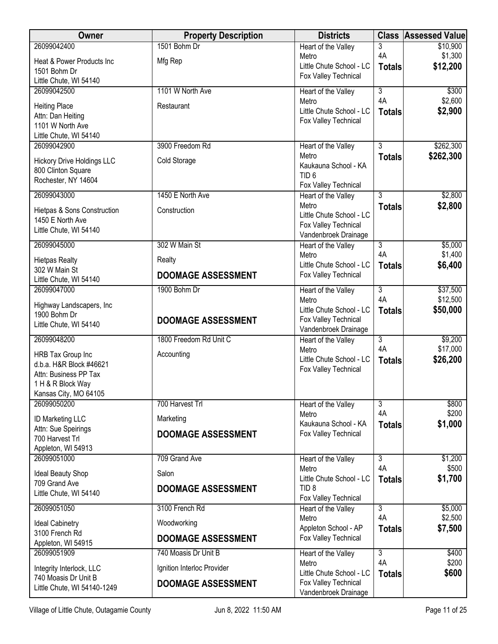| 3<br>4A<br>\$1,300<br>Metro<br>Mfg Rep<br>Heat & Power Products Inc<br>Little Chute School - LC<br>\$12,200<br><b>Totals</b><br>1501 Bohm Dr<br>Fox Valley Technical<br>Little Chute, WI 54140<br>$\overline{3}$<br>26099042500<br>1101 W North Ave<br>\$300<br>Heart of the Valley<br>4A<br>\$2,600<br>Metro<br><b>Heiting Place</b><br>Restaurant<br>Little Chute School - LC<br>\$2,900<br><b>Totals</b><br>Attn: Dan Heiting<br>Fox Valley Technical<br>1101 W North Ave<br>Little Chute, WI 54140<br>\$262,300<br>26099042900<br>3900 Freedom Rd<br>3<br>Heart of the Valley<br>\$262,300<br>Metro<br><b>Totals</b><br>Cold Storage<br><b>Hickory Drive Holdings LLC</b><br>Kaukauna School - KA<br>800 Clinton Square<br>TID <sub>6</sub><br>Rochester, NY 14604<br>Fox Valley Technical<br>1450 E North Ave<br>$\overline{3}$<br>\$2,800<br>26099043000<br>Heart of the Valley<br>Metro<br>\$2,800<br><b>Totals</b><br>Construction<br>Hietpas & Sons Construction<br>Little Chute School - LC<br>1450 E North Ave<br>Fox Valley Technical<br>Little Chute, WI 54140<br>Vandenbroek Drainage<br>26099045000<br>302 W Main St<br>\$5,000<br>$\overline{3}$<br>Heart of the Valley<br>4A<br>\$1,400<br>Metro<br><b>Hietpas Realty</b><br>Realty | Owner       | <b>Property Description</b> | <b>Districts</b>         | <b>Class</b>  | <b>Assessed Value</b> |
|------------------------------------------------------------------------------------------------------------------------------------------------------------------------------------------------------------------------------------------------------------------------------------------------------------------------------------------------------------------------------------------------------------------------------------------------------------------------------------------------------------------------------------------------------------------------------------------------------------------------------------------------------------------------------------------------------------------------------------------------------------------------------------------------------------------------------------------------------------------------------------------------------------------------------------------------------------------------------------------------------------------------------------------------------------------------------------------------------------------------------------------------------------------------------------------------------------------------------------------------------|-------------|-----------------------------|--------------------------|---------------|-----------------------|
|                                                                                                                                                                                                                                                                                                                                                                                                                                                                                                                                                                                                                                                                                                                                                                                                                                                                                                                                                                                                                                                                                                                                                                                                                                                      | 26099042400 | 1501 Bohm Dr                | Heart of the Valley      |               | \$10,900              |
|                                                                                                                                                                                                                                                                                                                                                                                                                                                                                                                                                                                                                                                                                                                                                                                                                                                                                                                                                                                                                                                                                                                                                                                                                                                      |             |                             |                          |               |                       |
|                                                                                                                                                                                                                                                                                                                                                                                                                                                                                                                                                                                                                                                                                                                                                                                                                                                                                                                                                                                                                                                                                                                                                                                                                                                      |             |                             |                          |               |                       |
|                                                                                                                                                                                                                                                                                                                                                                                                                                                                                                                                                                                                                                                                                                                                                                                                                                                                                                                                                                                                                                                                                                                                                                                                                                                      |             |                             |                          |               |                       |
|                                                                                                                                                                                                                                                                                                                                                                                                                                                                                                                                                                                                                                                                                                                                                                                                                                                                                                                                                                                                                                                                                                                                                                                                                                                      |             |                             |                          |               |                       |
|                                                                                                                                                                                                                                                                                                                                                                                                                                                                                                                                                                                                                                                                                                                                                                                                                                                                                                                                                                                                                                                                                                                                                                                                                                                      |             |                             |                          |               |                       |
|                                                                                                                                                                                                                                                                                                                                                                                                                                                                                                                                                                                                                                                                                                                                                                                                                                                                                                                                                                                                                                                                                                                                                                                                                                                      |             |                             |                          |               |                       |
|                                                                                                                                                                                                                                                                                                                                                                                                                                                                                                                                                                                                                                                                                                                                                                                                                                                                                                                                                                                                                                                                                                                                                                                                                                                      |             |                             |                          |               |                       |
|                                                                                                                                                                                                                                                                                                                                                                                                                                                                                                                                                                                                                                                                                                                                                                                                                                                                                                                                                                                                                                                                                                                                                                                                                                                      |             |                             |                          |               |                       |
|                                                                                                                                                                                                                                                                                                                                                                                                                                                                                                                                                                                                                                                                                                                                                                                                                                                                                                                                                                                                                                                                                                                                                                                                                                                      |             |                             |                          |               |                       |
|                                                                                                                                                                                                                                                                                                                                                                                                                                                                                                                                                                                                                                                                                                                                                                                                                                                                                                                                                                                                                                                                                                                                                                                                                                                      |             |                             |                          |               |                       |
|                                                                                                                                                                                                                                                                                                                                                                                                                                                                                                                                                                                                                                                                                                                                                                                                                                                                                                                                                                                                                                                                                                                                                                                                                                                      |             |                             |                          |               |                       |
|                                                                                                                                                                                                                                                                                                                                                                                                                                                                                                                                                                                                                                                                                                                                                                                                                                                                                                                                                                                                                                                                                                                                                                                                                                                      |             |                             |                          |               |                       |
|                                                                                                                                                                                                                                                                                                                                                                                                                                                                                                                                                                                                                                                                                                                                                                                                                                                                                                                                                                                                                                                                                                                                                                                                                                                      |             |                             |                          |               |                       |
|                                                                                                                                                                                                                                                                                                                                                                                                                                                                                                                                                                                                                                                                                                                                                                                                                                                                                                                                                                                                                                                                                                                                                                                                                                                      |             |                             |                          |               |                       |
|                                                                                                                                                                                                                                                                                                                                                                                                                                                                                                                                                                                                                                                                                                                                                                                                                                                                                                                                                                                                                                                                                                                                                                                                                                                      |             |                             |                          |               |                       |
|                                                                                                                                                                                                                                                                                                                                                                                                                                                                                                                                                                                                                                                                                                                                                                                                                                                                                                                                                                                                                                                                                                                                                                                                                                                      |             |                             |                          |               |                       |
|                                                                                                                                                                                                                                                                                                                                                                                                                                                                                                                                                                                                                                                                                                                                                                                                                                                                                                                                                                                                                                                                                                                                                                                                                                                      |             |                             | Little Chute School - LC | <b>Totals</b> | \$6,400               |
| 302 W Main St<br>Fox Valley Technical<br><b>DOOMAGE ASSESSMENT</b><br>Little Chute, WI 54140                                                                                                                                                                                                                                                                                                                                                                                                                                                                                                                                                                                                                                                                                                                                                                                                                                                                                                                                                                                                                                                                                                                                                         |             |                             |                          |               |                       |
| \$37,500<br>26099047000<br>1900 Bohm Dr<br>$\overline{3}$<br>Heart of the Valley                                                                                                                                                                                                                                                                                                                                                                                                                                                                                                                                                                                                                                                                                                                                                                                                                                                                                                                                                                                                                                                                                                                                                                     |             |                             |                          |               |                       |
| 4A<br>\$12,500<br>Metro<br>Highway Landscapers, Inc                                                                                                                                                                                                                                                                                                                                                                                                                                                                                                                                                                                                                                                                                                                                                                                                                                                                                                                                                                                                                                                                                                                                                                                                  |             |                             |                          |               |                       |
| Little Chute School - LC<br>\$50,000<br><b>Totals</b><br>1900 Bohm Dr                                                                                                                                                                                                                                                                                                                                                                                                                                                                                                                                                                                                                                                                                                                                                                                                                                                                                                                                                                                                                                                                                                                                                                                |             |                             |                          |               |                       |
| Fox Valley Technical<br><b>DOOMAGE ASSESSMENT</b><br>Little Chute, WI 54140<br>Vandenbroek Drainage                                                                                                                                                                                                                                                                                                                                                                                                                                                                                                                                                                                                                                                                                                                                                                                                                                                                                                                                                                                                                                                                                                                                                  |             |                             |                          |               |                       |
| $\overline{3}$<br>\$9,200<br>26099048200<br>1800 Freedom Rd Unit C<br>Heart of the Valley                                                                                                                                                                                                                                                                                                                                                                                                                                                                                                                                                                                                                                                                                                                                                                                                                                                                                                                                                                                                                                                                                                                                                            |             |                             |                          |               |                       |
| 4A<br>\$17,000<br>Metro<br>HRB Tax Group Inc<br>Accounting                                                                                                                                                                                                                                                                                                                                                                                                                                                                                                                                                                                                                                                                                                                                                                                                                                                                                                                                                                                                                                                                                                                                                                                           |             |                             |                          |               |                       |
| \$26,200<br>Little Chute School - LC<br><b>Totals</b><br>d.b.a. H&R Block #46621<br>Fox Valley Technical                                                                                                                                                                                                                                                                                                                                                                                                                                                                                                                                                                                                                                                                                                                                                                                                                                                                                                                                                                                                                                                                                                                                             |             |                             |                          |               |                       |
| Attn: Business PP Tax<br>1 H & R Block Way                                                                                                                                                                                                                                                                                                                                                                                                                                                                                                                                                                                                                                                                                                                                                                                                                                                                                                                                                                                                                                                                                                                                                                                                           |             |                             |                          |               |                       |
| Kansas City, MO 64105                                                                                                                                                                                                                                                                                                                                                                                                                                                                                                                                                                                                                                                                                                                                                                                                                                                                                                                                                                                                                                                                                                                                                                                                                                |             |                             |                          |               |                       |
| 700 Harvest Trl<br>3<br>\$800<br>26099050200<br>Heart of the Valley                                                                                                                                                                                                                                                                                                                                                                                                                                                                                                                                                                                                                                                                                                                                                                                                                                                                                                                                                                                                                                                                                                                                                                                  |             |                             |                          |               |                       |
| 4A<br>\$200<br>Metro<br>Marketing<br>ID Marketing LLC                                                                                                                                                                                                                                                                                                                                                                                                                                                                                                                                                                                                                                                                                                                                                                                                                                                                                                                                                                                                                                                                                                                                                                                                |             |                             |                          |               |                       |
| Kaukauna School - KA<br>\$1,000<br><b>Totals</b><br>Attn: Sue Speirings<br>Fox Valley Technical<br><b>DOOMAGE ASSESSMENT</b>                                                                                                                                                                                                                                                                                                                                                                                                                                                                                                                                                                                                                                                                                                                                                                                                                                                                                                                                                                                                                                                                                                                         |             |                             |                          |               |                       |
| 700 Harvest Trl<br>Appleton, WI 54913                                                                                                                                                                                                                                                                                                                                                                                                                                                                                                                                                                                                                                                                                                                                                                                                                                                                                                                                                                                                                                                                                                                                                                                                                |             |                             |                          |               |                       |
| 26099051000<br>709 Grand Ave<br>$\overline{3}$<br>\$1,200<br>Heart of the Valley                                                                                                                                                                                                                                                                                                                                                                                                                                                                                                                                                                                                                                                                                                                                                                                                                                                                                                                                                                                                                                                                                                                                                                     |             |                             |                          |               |                       |
| 4A<br>\$500<br>Metro<br>Salon<br><b>Ideal Beauty Shop</b>                                                                                                                                                                                                                                                                                                                                                                                                                                                                                                                                                                                                                                                                                                                                                                                                                                                                                                                                                                                                                                                                                                                                                                                            |             |                             |                          |               |                       |
| Little Chute School - LC<br>\$1,700<br><b>Totals</b><br>709 Grand Ave                                                                                                                                                                                                                                                                                                                                                                                                                                                                                                                                                                                                                                                                                                                                                                                                                                                                                                                                                                                                                                                                                                                                                                                |             |                             |                          |               |                       |
| TID <sub>8</sub><br><b>DOOMAGE ASSESSMENT</b><br>Little Chute, WI 54140<br>Fox Valley Technical                                                                                                                                                                                                                                                                                                                                                                                                                                                                                                                                                                                                                                                                                                                                                                                                                                                                                                                                                                                                                                                                                                                                                      |             |                             |                          |               |                       |
| 26099051050<br>3100 French Rd<br>$\overline{3}$<br>\$5,000<br>Heart of the Valley                                                                                                                                                                                                                                                                                                                                                                                                                                                                                                                                                                                                                                                                                                                                                                                                                                                                                                                                                                                                                                                                                                                                                                    |             |                             |                          |               |                       |
| 4A<br>\$2,500<br>Metro<br>Woodworking<br><b>Ideal Cabinetry</b>                                                                                                                                                                                                                                                                                                                                                                                                                                                                                                                                                                                                                                                                                                                                                                                                                                                                                                                                                                                                                                                                                                                                                                                      |             |                             |                          |               |                       |
| Appleton School - AP<br>\$7,500<br><b>Totals</b><br>3100 French Rd<br>Fox Valley Technical<br><b>DOOMAGE ASSESSMENT</b>                                                                                                                                                                                                                                                                                                                                                                                                                                                                                                                                                                                                                                                                                                                                                                                                                                                                                                                                                                                                                                                                                                                              |             |                             |                          |               |                       |
| Appleton, WI 54915                                                                                                                                                                                                                                                                                                                                                                                                                                                                                                                                                                                                                                                                                                                                                                                                                                                                                                                                                                                                                                                                                                                                                                                                                                   |             |                             |                          |               |                       |
| $\overline{3}$<br>26099051909<br>740 Moasis Dr Unit B<br>\$400<br>Heart of the Valley<br>4A<br>\$200<br>Metro                                                                                                                                                                                                                                                                                                                                                                                                                                                                                                                                                                                                                                                                                                                                                                                                                                                                                                                                                                                                                                                                                                                                        |             |                             |                          |               |                       |
| Ignition Interloc Provider<br>Integrity Interlock, LLC<br>Little Chute School - LC<br>\$600<br><b>Totals</b>                                                                                                                                                                                                                                                                                                                                                                                                                                                                                                                                                                                                                                                                                                                                                                                                                                                                                                                                                                                                                                                                                                                                         |             |                             |                          |               |                       |
| 740 Moasis Dr Unit B<br>Fox Valley Technical<br><b>DOOMAGE ASSESSMENT</b><br>Little Chute, WI 54140-1249<br>Vandenbroek Drainage                                                                                                                                                                                                                                                                                                                                                                                                                                                                                                                                                                                                                                                                                                                                                                                                                                                                                                                                                                                                                                                                                                                     |             |                             |                          |               |                       |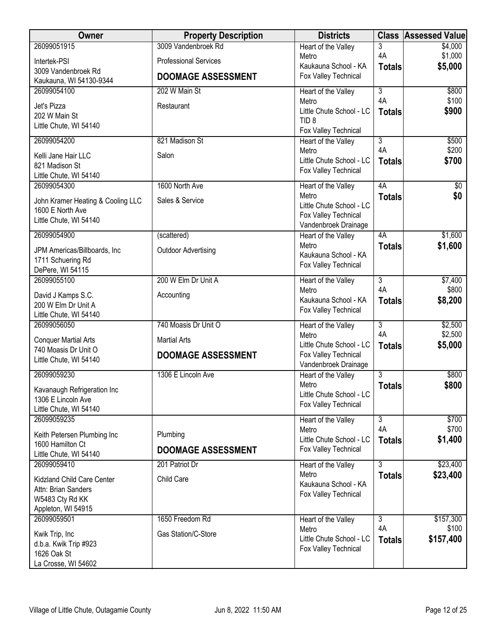| Owner                                           | <b>Property Description</b>  | <b>Districts</b>                             | <b>Class</b>                    | <b>Assessed Value</b> |
|-------------------------------------------------|------------------------------|----------------------------------------------|---------------------------------|-----------------------|
| 26099051915                                     | 3009 Vandenbroek Rd          | Heart of the Valley                          | 3                               | \$4,000               |
| Intertek-PSI                                    | <b>Professional Services</b> | Metro<br>Kaukauna School - KA                | 4A                              | \$1,000<br>\$5,000    |
| 3009 Vandenbroek Rd                             | <b>DOOMAGE ASSESSMENT</b>    | Fox Valley Technical                         | <b>Totals</b>                   |                       |
| Kaukauna, WI 54130-9344<br>26099054100          | 202 W Main St                |                                              | $\overline{3}$                  | \$800                 |
|                                                 |                              | Heart of the Valley<br>Metro                 | 4A                              | \$100                 |
| Jet's Pizza<br>202 W Main St                    | Restaurant                   | Little Chute School - LC                     | <b>Totals</b>                   | \$900                 |
| Little Chute, WI 54140                          |                              | TID <sub>8</sub>                             |                                 |                       |
| 26099054200                                     | 821 Madison St               | Fox Valley Technical                         | $\overline{3}$                  | \$500                 |
|                                                 |                              | Heart of the Valley<br>Metro                 | 4A                              | \$200                 |
| Kelli Jane Hair LLC                             | Salon                        | Little Chute School - LC                     | <b>Totals</b>                   | \$700                 |
| 821 Madison St<br>Little Chute, WI 54140        |                              | Fox Valley Technical                         |                                 |                       |
| 26099054300                                     | 1600 North Ave               | Heart of the Valley                          | 4A                              | $\sqrt[6]{}$          |
| John Kramer Heating & Cooling LLC               | Sales & Service              | Metro                                        | <b>Totals</b>                   | \$0                   |
| 1600 E North Ave                                |                              | Little Chute School - LC                     |                                 |                       |
| Little Chute, WI 54140                          |                              | Fox Valley Technical<br>Vandenbroek Drainage |                                 |                       |
| 26099054900                                     | (scattered)                  | Heart of the Valley                          | 4A                              | \$1,600               |
| JPM Americas/Billboards, Inc                    | <b>Outdoor Advertising</b>   | Metro                                        | <b>Totals</b>                   | \$1,600               |
| 1711 Schuering Rd                               |                              | Kaukauna School - KA                         |                                 |                       |
| DePere, WI 54115                                |                              | Fox Valley Technical                         |                                 |                       |
| 26099055100                                     | 200 W Elm Dr Unit A          | Heart of the Valley                          | $\overline{3}$                  | \$7,400               |
| David J Kamps S.C.                              | Accounting                   | Metro                                        | 4A                              | \$800                 |
| 200 W Elm Dr Unit A                             |                              | Kaukauna School - KA<br>Fox Valley Technical | <b>Totals</b>                   | \$8,200               |
| Little Chute, WI 54140                          |                              |                                              |                                 |                       |
| 26099056050                                     | 740 Moasis Dr Unit O         | Heart of the Valley<br>Metro                 | $\overline{\overline{3}}$<br>4A | \$2,500<br>\$2,500    |
| <b>Conquer Martial Arts</b>                     | <b>Martial Arts</b>          | Little Chute School - LC                     | <b>Totals</b>                   | \$5,000               |
| 740 Moasis Dr Unit O                            | <b>DOOMAGE ASSESSMENT</b>    | Fox Valley Technical                         |                                 |                       |
| Little Chute, WI 54140                          |                              | Vandenbroek Drainage                         |                                 |                       |
| 26099059230                                     | 1306 E Lincoln Ave           | Heart of the Valley                          | 3                               | \$800                 |
| Kavanaugh Refrigeration Inc                     |                              | Metro<br>Little Chute School - LC            | <b>Totals</b>                   | \$800                 |
| 1306 E Lincoln Ave                              |                              | Fox Valley Technical                         |                                 |                       |
| Little Chute, WI 54140<br>26099059235           |                              | Heart of the Valley                          | $\overline{3}$                  | \$700                 |
|                                                 |                              | Metro                                        | 4A                              | \$700                 |
| Keith Petersen Plumbing Inc<br>1600 Hamilton Ct | Plumbing                     | Little Chute School - LC                     | <b>Totals</b>                   | \$1,400               |
| Little Chute, WI 54140                          | <b>DOOMAGE ASSESSMENT</b>    | Fox Valley Technical                         |                                 |                       |
| 26099059410                                     | 201 Patriot Dr               | Heart of the Valley                          | $\overline{3}$                  | \$23,400              |
| Kidzland Child Care Center                      | Child Care                   | Metro                                        | <b>Totals</b>                   | \$23,400              |
| Attn: Brian Sanders                             |                              | Kaukauna School - KA                         |                                 |                       |
| W5483 Cty Rd KK                                 |                              | Fox Valley Technical                         |                                 |                       |
| Appleton, WI 54915                              |                              |                                              |                                 |                       |
| 26099059501                                     | 1650 Freedom Rd              | Heart of the Valley<br>Metro                 | $\overline{3}$<br>4A            | \$157,300<br>\$100    |
| Kwik Trip, Inc                                  | Gas Station/C-Store          | Little Chute School - LC                     | <b>Totals</b>                   | \$157,400             |
| d.b.a. Kwik Trip #923<br>1626 Oak St            |                              | Fox Valley Technical                         |                                 |                       |
| La Crosse, WI 54602                             |                              |                                              |                                 |                       |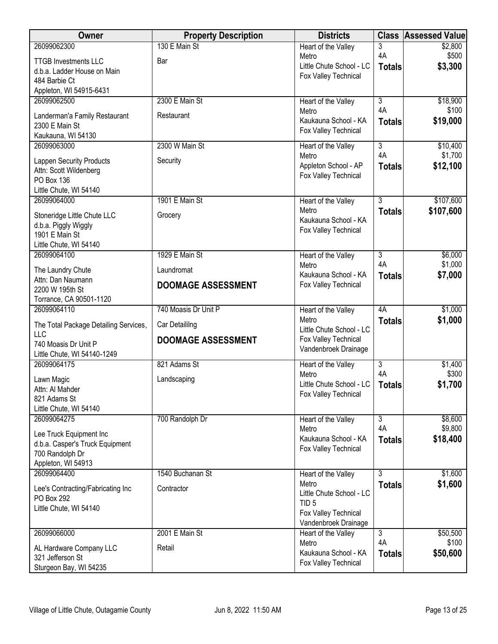| Owner                                  | <b>Property Description</b> | <b>Districts</b>                             |                      | <b>Class Assessed Value</b> |
|----------------------------------------|-----------------------------|----------------------------------------------|----------------------|-----------------------------|
| 26099062300                            | 130 E Main St               | Heart of the Valley                          | 3                    | \$2,800                     |
| <b>TTGB Investments LLC</b>            | Bar                         | Metro<br>Little Chute School - LC            | 4A                   | \$500                       |
| d.b.a. Ladder House on Main            |                             | Fox Valley Technical                         | <b>Totals</b>        | \$3,300                     |
| 484 Barbie Ct                          |                             |                                              |                      |                             |
| Appleton, WI 54915-6431                |                             |                                              |                      |                             |
| 26099062500                            | 2300 E Main St              | Heart of the Valley<br>Metro                 | $\overline{3}$<br>4A | \$18,900<br>\$100           |
| Landerman'a Family Restaurant          | Restaurant                  | Kaukauna School - KA                         | <b>Totals</b>        | \$19,000                    |
| 2300 E Main St                         |                             | Fox Valley Technical                         |                      |                             |
| Kaukauna, WI 54130                     | 2300 W Main St              |                                              |                      |                             |
| 26099063000                            |                             | Heart of the Valley<br>Metro                 | 3<br>4A              | \$10,400<br>\$1,700         |
| <b>Lappen Security Products</b>        | Security                    | Appleton School - AP                         | <b>Totals</b>        | \$12,100                    |
| Attn: Scott Wildenberg                 |                             | Fox Valley Technical                         |                      |                             |
| PO Box 136<br>Little Chute, WI 54140   |                             |                                              |                      |                             |
| 26099064000                            | 1901 E Main St              | Heart of the Valley                          | $\overline{3}$       | \$107,600                   |
|                                        |                             | Metro                                        | <b>Totals</b>        | \$107,600                   |
| Stoneridge Little Chute LLC            | Grocery                     | Kaukauna School - KA                         |                      |                             |
| d.b.a. Piggly Wiggly<br>1901 E Main St |                             | Fox Valley Technical                         |                      |                             |
| Little Chute, WI 54140                 |                             |                                              |                      |                             |
| 26099064100                            | 1929 E Main St              | Heart of the Valley                          | $\overline{3}$       | \$6,000                     |
|                                        | Laundromat                  | Metro                                        | 4A                   | \$1,000                     |
| The Laundry Chute<br>Attn: Dan Naumann |                             | Kaukauna School - KA                         | <b>Totals</b>        | \$7,000                     |
| 2200 W 195th St                        | <b>DOOMAGE ASSESSMENT</b>   | Fox Valley Technical                         |                      |                             |
| Torrance, CA 90501-1120                |                             |                                              |                      |                             |
| 26099064110                            | 740 Moasis Dr Unit P        | Heart of the Valley                          | 4A                   | \$1,000                     |
| The Total Package Detailing Services,  | Car Detaililng              | Metro                                        | <b>Totals</b>        | \$1,000                     |
| <b>LLC</b>                             |                             | Little Chute School - LC                     |                      |                             |
| 740 Moasis Dr Unit P                   | <b>DOOMAGE ASSESSMENT</b>   | Fox Valley Technical<br>Vandenbroek Drainage |                      |                             |
| Little Chute, WI 54140-1249            |                             |                                              |                      |                             |
| 26099064175                            | 821 Adams St                | Heart of the Valley                          | $\overline{3}$<br>4A | \$1,400                     |
| Lawn Magic                             | Landscaping                 | Metro<br>Little Chute School - LC            |                      | \$300<br>\$1,700            |
| Attn: Al Mahder                        |                             | Fox Valley Technical                         | <b>Totals</b>        |                             |
| 821 Adams St                           |                             |                                              |                      |                             |
| Little Chute, WI 54140<br>26099064275  | 700 Randolph Dr             |                                              | $\overline{3}$       | \$8,600                     |
|                                        |                             | Heart of the Valley<br>Metro                 | 4A                   | \$9,800                     |
| Lee Truck Equipment Inc                |                             | Kaukauna School - KA                         | <b>Totals</b>        | \$18,400                    |
| d.b.a. Casper's Truck Equipment        |                             | Fox Valley Technical                         |                      |                             |
| 700 Randolph Dr<br>Appleton, WI 54913  |                             |                                              |                      |                             |
| 26099064400                            | 1540 Buchanan St            | Heart of the Valley                          | 3                    | \$1,600                     |
|                                        |                             | Metro                                        | <b>Totals</b>        | \$1,600                     |
| Lee's Contracting/Fabricating Inc      | Contractor                  | Little Chute School - LC                     |                      |                             |
| PO Box 292<br>Little Chute, WI 54140   |                             | TID <sub>5</sub>                             |                      |                             |
|                                        |                             | Fox Valley Technical                         |                      |                             |
|                                        |                             | Vandenbroek Drainage                         |                      |                             |
| 26099066000                            | 2001 E Main St              | Heart of the Valley<br>Metro                 | 3<br>4A              | \$50,500<br>\$100           |
| AL Hardware Company LLC                | Retail                      | Kaukauna School - KA                         | <b>Totals</b>        | \$50,600                    |
| 321 Jefferson St                       |                             | Fox Valley Technical                         |                      |                             |
| Sturgeon Bay, WI 54235                 |                             |                                              |                      |                             |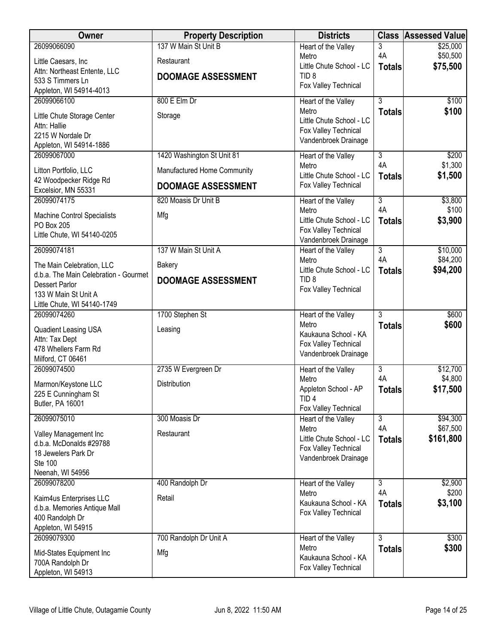| <b>Owner</b>                                                   | <b>Property Description</b> | <b>Districts</b>                             | <b>Class</b>         | <b>Assessed Value</b> |
|----------------------------------------------------------------|-----------------------------|----------------------------------------------|----------------------|-----------------------|
| 26099066090                                                    | 137 W Main St Unit B        | Heart of the Valley                          | 3                    | \$25,000              |
| Little Caesars, Inc                                            | Restaurant                  | Metro<br>Little Chute School - LC            | 4A<br><b>Totals</b>  | \$50,500<br>\$75,500  |
| Attn: Northeast Entente, LLC<br>533 S Timmers Ln               | <b>DOOMAGE ASSESSMENT</b>   | TID <sub>8</sub>                             |                      |                       |
| Appleton, WI 54914-4013                                        |                             | Fox Valley Technical                         |                      |                       |
| 26099066100                                                    | 800 E Elm Dr                | Heart of the Valley                          | 3                    | \$100                 |
| Little Chute Storage Center                                    | Storage                     | Metro<br>Little Chute School - LC            | <b>Totals</b>        | \$100                 |
| Attn: Hallie                                                   |                             | Fox Valley Technical                         |                      |                       |
| 2215 W Nordale Dr<br>Appleton, WI 54914-1886                   |                             | Vandenbroek Drainage                         |                      |                       |
| 26099067000                                                    | 1420 Washington St Unit 81  | Heart of the Valley                          | 3                    | \$200                 |
| Litton Portfolio, LLC                                          | Manufactured Home Community | Metro<br>Little Chute School - LC            | 4A                   | \$1,300               |
| 42 Woodpecker Ridge Rd                                         | <b>DOOMAGE ASSESSMENT</b>   | Fox Valley Technical                         | <b>Totals</b>        | \$1,500               |
| Excelsior, MN 55331<br>26099074175                             | 820 Moasis Dr Unit B        | Heart of the Valley                          | $\overline{3}$       | \$3,800               |
| <b>Machine Control Specialists</b>                             | Mfg                         | Metro                                        | 4A                   | \$100                 |
| PO Box 205                                                     |                             | Little Chute School - LC                     | <b>Totals</b>        | \$3,900               |
| Little Chute, WI 54140-0205                                    |                             | Fox Valley Technical<br>Vandenbroek Drainage |                      |                       |
| 26099074181                                                    | 137 W Main St Unit A        | Heart of the Valley                          | $\overline{3}$       | \$10,000              |
| The Main Celebration, LLC                                      | <b>Bakery</b>               | Metro<br>Little Chute School - LC            | 4A<br><b>Totals</b>  | \$84,200<br>\$94,200  |
| d.b.a. The Main Celebration - Gourmet<br><b>Dessert Parlor</b> | <b>DOOMAGE ASSESSMENT</b>   | TID <sub>8</sub>                             |                      |                       |
| 133 W Main St Unit A                                           |                             | Fox Valley Technical                         |                      |                       |
| Little Chute, WI 54140-1749                                    |                             |                                              |                      |                       |
| 26099074260                                                    | 1700 Stephen St             | Heart of the Valley<br>Metro                 | $\overline{3}$       | \$600                 |
| Quadient Leasing USA                                           | Leasing                     | Kaukauna School - KA                         | <b>Totals</b>        | \$600                 |
| Attn: Tax Dept<br>478 Whellers Farm Rd                         |                             | Fox Valley Technical                         |                      |                       |
| Milford, CT 06461                                              |                             | Vandenbroek Drainage                         |                      |                       |
| 26099074500                                                    | 2735 W Evergreen Dr         | Heart of the Valley                          | $\overline{3}$       | \$12,700              |
| Marmon/Keystone LLC                                            | Distribution                | Metro<br>Appleton School - AP                | 4A<br><b>Totals</b>  | \$4,800<br>\$17,500   |
| 225 E Cunningham St<br>Butler, PA 16001                        |                             | TID <sub>4</sub>                             |                      |                       |
|                                                                |                             | Fox Valley Technical                         |                      |                       |
| 26099075010                                                    | 300 Moasis Dr               | Heart of the Valley<br>Metro                 | $\overline{3}$<br>4A | \$94,300<br>\$67,500  |
| Valley Management Inc<br>d.b.a. McDonalds #29788               | Restaurant                  | Little Chute School - LC                     | <b>Totals</b>        | \$161,800             |
| 18 Jewelers Park Dr                                            |                             | Fox Valley Technical                         |                      |                       |
| Ste 100                                                        |                             | Vandenbroek Drainage                         |                      |                       |
| Neenah, WI 54956<br>26099078200                                | 400 Randolph Dr             | Heart of the Valley                          | $\overline{3}$       | \$2,900               |
| Kaim4us Enterprises LLC                                        | Retail                      | Metro                                        | 4A                   | \$200                 |
| d.b.a. Memories Antique Mall                                   |                             | Kaukauna School - KA                         | <b>Totals</b>        | \$3,100               |
| 400 Randolph Dr                                                |                             | Fox Valley Technical                         |                      |                       |
| Appleton, WI 54915<br>26099079300                              | 700 Randolph Dr Unit A      | Heart of the Valley                          | $\overline{3}$       | \$300                 |
|                                                                |                             | Metro                                        | <b>Totals</b>        | \$300                 |
| Mid-States Equipment Inc<br>700A Randolph Dr                   | Mfg                         | Kaukauna School - KA                         |                      |                       |
| Appleton, WI 54913                                             |                             | Fox Valley Technical                         |                      |                       |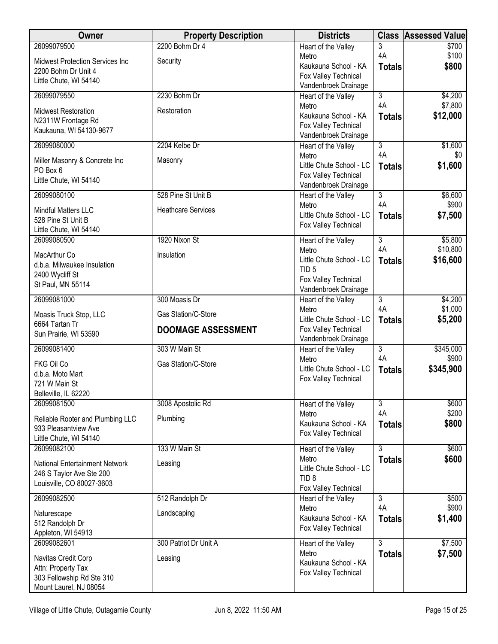| Owner                                                             | <b>Property Description</b> | <b>Districts</b>                             | <b>Class</b>         | <b>Assessed Value</b> |
|-------------------------------------------------------------------|-----------------------------|----------------------------------------------|----------------------|-----------------------|
| 26099079500                                                       | 2200 Bohm Dr 4              | <b>Heart of the Valley</b>                   | 3                    | \$700                 |
| <b>Midwest Protection Services Inc</b>                            | Security                    | Metro<br>Kaukauna School - KA                | 4A<br><b>Totals</b>  | \$100<br>\$800        |
| 2200 Bohm Dr Unit 4                                               |                             | Fox Valley Technical                         |                      |                       |
| Little Chute, WI 54140                                            |                             | Vandenbroek Drainage                         |                      |                       |
| 26099079550                                                       | 2230 Bohm Dr                | Heart of the Valley                          | 3                    | \$4,200               |
| <b>Midwest Restoration</b>                                        | Restoration                 | Metro<br>Kaukauna School - KA                | 4A<br><b>Totals</b>  | \$7,800<br>\$12,000   |
| N2311W Frontage Rd                                                |                             | Fox Valley Technical                         |                      |                       |
| Kaukauna, WI 54130-9677                                           |                             | Vandenbroek Drainage                         |                      |                       |
| 26099080000                                                       | 2204 Kelbe Dr               | Heart of the Valley                          | $\overline{3}$       | \$1,600               |
| Miller Masonry & Concrete Inc                                     | Masonry                     | Metro<br>Little Chute School - LC            | 4A<br><b>Totals</b>  | \$0<br>\$1,600        |
| PO Box 6                                                          |                             | Fox Valley Technical                         |                      |                       |
| Little Chute, WI 54140                                            |                             | Vandenbroek Drainage                         |                      |                       |
| 26099080100                                                       | 528 Pine St Unit B          | Heart of the Valley                          | $\overline{3}$       | \$6,600               |
| Mindful Matters LLC                                               | <b>Heathcare Services</b>   | Metro<br>Little Chute School - LC            | 4A<br><b>Totals</b>  | \$900<br>\$7,500      |
| 528 Pine St Unit B                                                |                             | Fox Valley Technical                         |                      |                       |
| Little Chute, WI 54140<br>26099080500                             | 1920 Nixon St               | Heart of the Valley                          | $\overline{3}$       | \$5,800               |
|                                                                   |                             | Metro                                        | 4A                   | \$10,800              |
| MacArthur Co<br>d.b.a. Milwaukee Insulation                       | Insulation                  | Little Chute School - LC                     | <b>Totals</b>        | \$16,600              |
| 2400 Wycliff St                                                   |                             | TID <sub>5</sub><br>Fox Valley Technical     |                      |                       |
| St Paul, MN 55114                                                 |                             | Vandenbroek Drainage                         |                      |                       |
| 26099081000                                                       | 300 Moasis Dr               | Heart of the Valley                          | $\overline{3}$       | \$4,200               |
| Moasis Truck Stop, LLC                                            | Gas Station/C-Store         | Metro<br>Little Chute School - LC            | 4A<br><b>Totals</b>  | \$1,000<br>\$5,200    |
| 6664 Tartan Tr                                                    | <b>DOOMAGE ASSESSMENT</b>   | Fox Valley Technical                         |                      |                       |
| Sun Prairie, WI 53590                                             |                             | Vandenbroek Drainage                         |                      |                       |
| 26099081400                                                       | 303 W Main St               | Heart of the Valley<br>Metro                 | $\overline{3}$<br>4A | \$345,000<br>\$900    |
| FKG Oil Co                                                        | Gas Station/C-Store         | Little Chute School - LC                     | <b>Totals</b>        | \$345,900             |
| d.b.a. Moto Mart<br>721 W Main St                                 |                             | Fox Valley Technical                         |                      |                       |
| Belleville, IL 62220                                              |                             |                                              |                      |                       |
| 26099081500                                                       | 3008 Apostolic Rd           | Heart of the Valley                          | $\overline{3}$       | \$600                 |
| Reliable Rooter and Plumbing LLC                                  | Plumbing                    | Metro                                        | 4A                   | \$200                 |
| 933 Pleasantview Ave                                              |                             | Kaukauna School - KA<br>Fox Valley Technical | <b>Totals</b>        | \$800                 |
| Little Chute, WI 54140                                            |                             |                                              | $\overline{3}$       |                       |
| 26099082100                                                       | 133 W Main St               | Heart of the Valley<br>Metro                 | <b>Totals</b>        | \$600<br>\$600        |
| <b>National Entertainment Network</b><br>246 S Taylor Ave Ste 200 | Leasing                     | Little Chute School - LC                     |                      |                       |
| Louisville, CO 80027-3603                                         |                             | TID <sub>8</sub>                             |                      |                       |
| 26099082500                                                       | 512 Randolph Dr             | Fox Valley Technical<br>Heart of the Valley  | $\overline{3}$       | \$500                 |
|                                                                   |                             | Metro                                        | 4A                   | \$900                 |
| Naturescape<br>512 Randolph Dr                                    | Landscaping                 | Kaukauna School - KA                         | <b>Totals</b>        | \$1,400               |
| Appleton, WI 54913                                                |                             | Fox Valley Technical                         |                      |                       |
| 26099082601                                                       | 300 Patriot Dr Unit A       | Heart of the Valley                          | $\overline{3}$       | \$7,500               |
| Navitas Credit Corp                                               | Leasing                     | Metro                                        | <b>Totals</b>        | \$7,500               |
| Attn: Property Tax                                                |                             |                                              |                      |                       |
|                                                                   |                             |                                              |                      |                       |
| 303 Fellowship Rd Ste 310<br>Mount Laurel, NJ 08054               |                             | Kaukauna School - KA<br>Fox Valley Technical |                      |                       |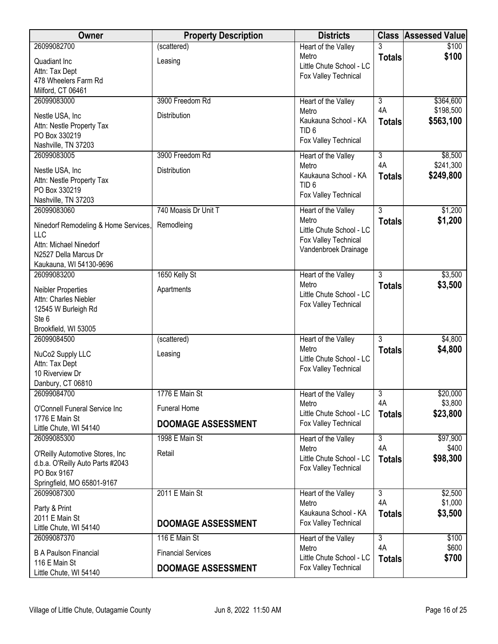| Owner                                              | <b>Property Description</b> | <b>Districts</b>                  |                | <b>Class Assessed Value</b> |
|----------------------------------------------------|-----------------------------|-----------------------------------|----------------|-----------------------------|
| 26099082700                                        | (scattered)                 | Heart of the Valley               |                | \$100                       |
| Quadiant Inc                                       | Leasing                     | Metro<br>Little Chute School - LC | <b>Totals</b>  | \$100                       |
| Attn: Tax Dept                                     |                             | Fox Valley Technical              |                |                             |
| 478 Wheelers Farm Rd                               |                             |                                   |                |                             |
| Milford, CT 06461                                  |                             |                                   |                |                             |
| 26099083000                                        | 3900 Freedom Rd             | Heart of the Valley<br>Metro      | 3<br>4A        | \$364,600<br>\$198,500      |
| Nestle USA, Inc                                    | Distribution                | Kaukauna School - KA              | <b>Totals</b>  | \$563,100                   |
| Attn: Nestle Property Tax                          |                             | TID <sub>6</sub>                  |                |                             |
| PO Box 330219                                      |                             | Fox Valley Technical              |                |                             |
| Nashville, TN 37203<br>26099083005                 | 3900 Freedom Rd             | Heart of the Valley               | 3              | \$8,500                     |
|                                                    |                             | Metro                             | 4A             | \$241,300                   |
| Nestle USA, Inc                                    | Distribution                | Kaukauna School - KA              | <b>Totals</b>  | \$249,800                   |
| Attn: Nestle Property Tax                          |                             | TID <sub>6</sub>                  |                |                             |
| PO Box 330219<br>Nashville, TN 37203               |                             | Fox Valley Technical              |                |                             |
| 26099083060                                        | 740 Moasis Dr Unit T        | Heart of the Valley               | $\overline{3}$ | \$1,200                     |
|                                                    |                             | Metro                             | <b>Totals</b>  | \$1,200                     |
| Ninedorf Remodeling & Home Services,<br><b>LLC</b> | Remodleing                  | Little Chute School - LC          |                |                             |
| Attn: Michael Ninedorf                             |                             | Fox Valley Technical              |                |                             |
| N2527 Della Marcus Dr                              |                             | Vandenbroek Drainage              |                |                             |
| Kaukauna, WI 54130-9696                            |                             |                                   |                |                             |
| 26099083200                                        | 1650 Kelly St               | Heart of the Valley               | 3              | \$3,500                     |
| Neibler Properties                                 | Apartments                  | Metro                             | <b>Totals</b>  | \$3,500                     |
| Attn: Charles Niebler                              |                             | Little Chute School - LC          |                |                             |
| 12545 W Burleigh Rd                                |                             | Fox Valley Technical              |                |                             |
| Ste 6                                              |                             |                                   |                |                             |
| Brookfield, WI 53005                               |                             |                                   |                |                             |
| 26099084500                                        | (scattered)                 | Heart of the Valley               | $\overline{3}$ | \$4,800                     |
| NuCo2 Supply LLC                                   | Leasing                     | Metro<br>Little Chute School - LC | <b>Totals</b>  | \$4,800                     |
| Attn: Tax Dept                                     |                             | Fox Valley Technical              |                |                             |
| 10 Riverview Dr                                    |                             |                                   |                |                             |
| Danbury, CT 06810<br>26099084700                   | 1776 E Main St              |                                   | $\overline{3}$ | \$20,000                    |
|                                                    |                             | Heart of the Valley<br>Metro      | 4A             | \$3,800                     |
| O'Connell Funeral Service Inc                      | <b>Funeral Home</b>         | Little Chute School - LC          | <b>Totals</b>  | \$23,800                    |
| 1776 E Main St<br>Little Chute, WI 54140           | <b>DOOMAGE ASSESSMENT</b>   | Fox Valley Technical              |                |                             |
| 26099085300                                        | 1998 E Main St              | Heart of the Valley               | $\overline{3}$ | \$97,900                    |
|                                                    |                             | Metro                             | 4A             | \$400                       |
| O'Reilly Automotive Stores, Inc                    | Retail                      | Little Chute School - LC          | <b>Totals</b>  | \$98,300                    |
| d.b.a. O'Reilly Auto Parts #2043<br>PO Box 9167    |                             | Fox Valley Technical              |                |                             |
| Springfield, MO 65801-9167                         |                             |                                   |                |                             |
| 26099087300                                        | 2011 E Main St              | Heart of the Valley               | 3              | \$2,500                     |
| Party & Print                                      |                             | Metro                             | 4A             | \$1,000                     |
| 2011 E Main St                                     |                             | Kaukauna School - KA              | <b>Totals</b>  | \$3,500                     |
| Little Chute, WI 54140                             | <b>DOOMAGE ASSESSMENT</b>   | Fox Valley Technical              |                |                             |
| 26099087370                                        | 116 E Main St               | Heart of the Valley               | $\overline{3}$ | \$100                       |
| <b>B A Paulson Financial</b>                       | <b>Financial Services</b>   | Metro                             | 4A             | \$600                       |
| 116 E Main St                                      |                             | Little Chute School - LC          | <b>Totals</b>  | \$700                       |
| Little Chute, WI 54140                             | <b>DOOMAGE ASSESSMENT</b>   | Fox Valley Technical              |                |                             |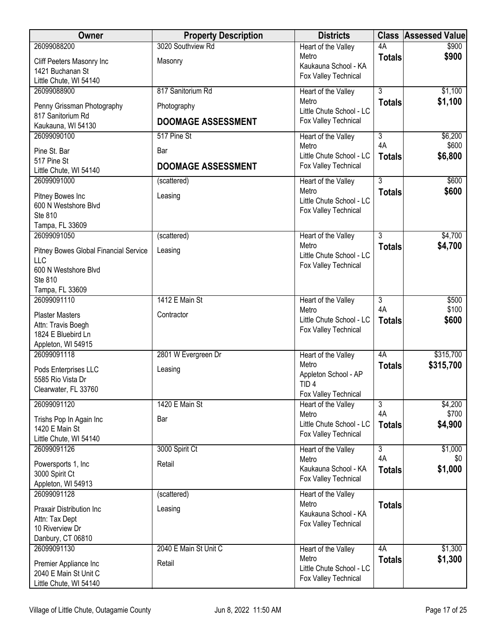| Owner                                           | <b>Property Description</b> | <b>Districts</b>                                 | <b>Class</b>   | <b>Assessed Value</b> |
|-------------------------------------------------|-----------------------------|--------------------------------------------------|----------------|-----------------------|
| 26099088200                                     | 3020 Southview Rd           | Heart of the Valley                              | 4A             | \$900                 |
| Cliff Peeters Masonry Inc                       | Masonry                     | Metro<br>Kaukauna School - KA                    | <b>Totals</b>  | \$900                 |
| 1421 Buchanan St                                |                             | Fox Valley Technical                             |                |                       |
| Little Chute, WI 54140                          |                             |                                                  | $\overline{3}$ |                       |
| 26099088900                                     | 817 Sanitorium Rd           | Heart of the Valley<br>Metro                     | <b>Totals</b>  | \$1,100<br>\$1,100    |
| Penny Grissman Photography                      | Photography                 | Little Chute School - LC                         |                |                       |
| 817 Sanitorium Rd<br>Kaukauna, WI 54130         | <b>DOOMAGE ASSESSMENT</b>   | Fox Valley Technical                             |                |                       |
| 26099090100                                     | 517 Pine St                 | Heart of the Valley                              | $\overline{3}$ | \$6,200               |
| Pine St. Bar                                    | Bar                         | Metro                                            | 4A             | \$600                 |
| 517 Pine St                                     |                             | Little Chute School - LC                         | <b>Totals</b>  | \$6,800               |
| Little Chute, WI 54140                          | <b>DOOMAGE ASSESSMENT</b>   | Fox Valley Technical                             |                |                       |
| 26099091000                                     | (scattered)                 | Heart of the Valley                              | $\overline{3}$ | \$600                 |
| Pitney Bowes Inc                                | Leasing                     | Metro                                            | <b>Totals</b>  | \$600                 |
| 600 N Westshore Blvd                            |                             | Little Chute School - LC<br>Fox Valley Technical |                |                       |
| Ste 810                                         |                             |                                                  |                |                       |
| Tampa, FL 33609<br>26099091050                  | (scattered)                 | Heart of the Valley                              | 3              | \$4,700               |
|                                                 |                             | Metro                                            | <b>Totals</b>  | \$4,700               |
| Pitney Bowes Global Financial Service           | Leasing                     | Little Chute School - LC                         |                |                       |
| LLC<br>600 N Westshore Blvd                     |                             | Fox Valley Technical                             |                |                       |
| Ste 810                                         |                             |                                                  |                |                       |
| Tampa, FL 33609                                 |                             |                                                  |                |                       |
| 26099091110                                     | 1412 E Main St              | Heart of the Valley                              | $\overline{3}$ | \$500                 |
| <b>Plaster Masters</b>                          | Contractor                  | Metro                                            | 4A             | \$100                 |
| Attn: Travis Boegh                              |                             | Little Chute School - LC<br>Fox Valley Technical | <b>Totals</b>  | \$600                 |
| 1824 E Bluebird Ln                              |                             |                                                  |                |                       |
| Appleton, WI 54915<br>26099091118               | 2801 W Evergreen Dr         | Heart of the Valley                              | 4A             | \$315,700             |
|                                                 |                             | Metro                                            | <b>Totals</b>  | \$315,700             |
| Pods Enterprises LLC<br>5585 Rio Vista Dr       | Leasing                     | Appleton School - AP                             |                |                       |
| Clearwater, FL 33760                            |                             | TID <sub>4</sub>                                 |                |                       |
| 26099091120                                     | 1420 E Main St              | Fox Valley Technical                             |                |                       |
|                                                 |                             | Heart of the Valley<br>Metro                     | 3<br>4A        | \$4,200<br>\$700      |
| Trishs Pop In Again Inc                         | Bar                         | Little Chute School - LC                         | <b>Totals</b>  | \$4,900               |
| 1420 E Main St<br>Little Chute, WI 54140        |                             | Fox Valley Technical                             |                |                       |
| 26099091126                                     | 3000 Spirit Ct              | Heart of the Valley                              | $\overline{3}$ | \$1,000               |
| Powersports 1, Inc                              | Retail                      | Metro                                            | 4A             | \$0                   |
| 3000 Spirit Ct                                  |                             | Kaukauna School - KA                             | <b>Totals</b>  | \$1,000               |
| Appleton, WI 54913                              |                             | Fox Valley Technical                             |                |                       |
| 26099091128                                     | (scattered)                 | Heart of the Valley                              |                |                       |
| Praxair Distribution Inc                        | Leasing                     | Metro<br>Kaukauna School - KA                    | <b>Totals</b>  |                       |
| Attn: Tax Dept                                  |                             | Fox Valley Technical                             |                |                       |
| 10 Riverview Dr                                 |                             |                                                  |                |                       |
| Danbury, CT 06810<br>26099091130                | 2040 E Main St Unit C       |                                                  | 4A             | \$1,300               |
|                                                 |                             | Heart of the Valley<br>Metro                     | <b>Totals</b>  | \$1,300               |
| Premier Appliance Inc                           | Retail                      | Little Chute School - LC                         |                |                       |
| 2040 E Main St Unit C<br>Little Chute, WI 54140 |                             | Fox Valley Technical                             |                |                       |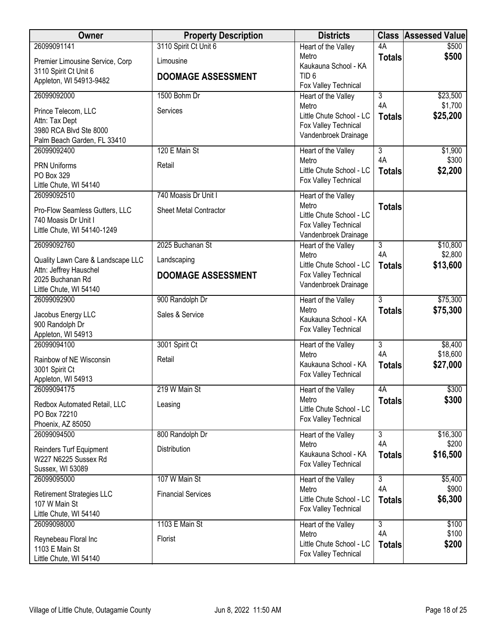| 26099091141<br>4A<br>\$500<br>Heart of the Valley<br>\$500<br>Metro<br><b>Totals</b><br>Limousine<br>Premier Limousine Service, Corp<br>Kaukauna School - KA<br>3110 Spirit Ct Unit 6<br>TID <sub>6</sub><br><b>DOOMAGE ASSESSMENT</b><br>Appleton, WI 54913-9482<br>Fox Valley Technical<br>$\overline{3}$<br>\$23,500<br>26099092000<br>1500 Bohm Dr<br>Heart of the Valley<br>4A<br>\$1,700<br>Metro<br>Services<br>Prince Telecom, LLC<br>Little Chute School - LC<br>\$25,200<br><b>Totals</b><br>Attn: Tax Dept<br>Fox Valley Technical<br>3980 RCA Blvd Ste 8000<br>Vandenbroek Drainage<br>Palm Beach Garden, FL 33410<br>26099092400<br>120 E Main St<br>$\overline{3}$<br>\$1,900<br>Heart of the Valley<br>4A<br>\$300<br>Metro<br><b>PRN Uniforms</b><br>Retail<br>\$2,200<br>Little Chute School - LC<br><b>Totals</b><br>PO Box 329<br>Fox Valley Technical<br>Little Chute, WI 54140<br>26099092510<br>740 Moasis Dr Unit I<br>Heart of the Valley<br>Metro<br><b>Totals</b><br><b>Sheet Metal Contractor</b><br>Pro-Flow Seamless Gutters, LLC<br>Little Chute School - LC<br>740 Moasis Dr Unit I<br>Fox Valley Technical<br>Little Chute, WI 54140-1249<br>Vandenbroek Drainage<br>2025 Buchanan St<br>26099092760<br>$\overline{3}$<br>\$10,800<br>Heart of the Valley<br>4A<br>\$2,800<br>Metro<br>Quality Lawn Care & Landscape LLC<br>Landscaping<br>Little Chute School - LC<br>\$13,600<br><b>Totals</b><br>Attn: Jeffrey Hauschel<br>Fox Valley Technical<br><b>DOOMAGE ASSESSMENT</b><br>2025 Buchanan Rd<br>Vandenbroek Drainage<br>Little Chute, WI 54140<br>$\overline{3}$<br>\$75,300<br>26099092900<br>900 Randolph Dr<br>Heart of the Valley<br>\$75,300<br>Metro<br><b>Totals</b><br>Sales & Service<br>Jacobus Energy LLC<br>Kaukauna School - KA<br>900 Randolph Dr<br>Fox Valley Technical<br>Appleton, WI 54913<br>26099094100<br>3001 Spirit Ct<br>3<br>\$8,400<br>Heart of the Valley<br>4A<br>\$18,600<br>Metro<br>Rainbow of NE Wisconsin<br>Retail<br>Kaukauna School - KA<br>\$27,000<br><b>Totals</b><br>3001 Spirit Ct<br>Fox Valley Technical<br>Appleton, WI 54913<br>26099094175<br>219 W Main St<br>4A<br>\$300<br>Heart of the Valley<br>\$300<br>Metro<br><b>Totals</b><br>Redbox Automated Retail, LLC<br>Leasing<br>Little Chute School - LC<br>PO Box 72210<br>Fox Valley Technical<br>Phoenix, AZ 85050<br>\$16,300<br>26099094500<br>800 Randolph Dr<br>$\overline{3}$<br>Heart of the Valley<br>4A<br>\$200<br>Metro<br>Distribution<br>Reinders Turf Equipment<br>Kaukauna School - KA<br>\$16,500<br><b>Totals</b><br>W227 N6225 Sussex Rd<br>Fox Valley Technical<br>Sussex, WI 53089<br>107 W Main St<br>26099095000<br>$\overline{3}$<br>\$5,400<br>Heart of the Valley<br>4A<br>\$900<br>Metro<br><b>Financial Services</b><br><b>Retirement Strategies LLC</b><br>Little Chute School - LC<br>\$6,300<br><b>Totals</b><br>107 W Main St<br>Fox Valley Technical | Owner                  | <b>Property Description</b> | <b>Districts</b> | <b>Class</b> | <b>Assessed Value</b> |
|---------------------------------------------------------------------------------------------------------------------------------------------------------------------------------------------------------------------------------------------------------------------------------------------------------------------------------------------------------------------------------------------------------------------------------------------------------------------------------------------------------------------------------------------------------------------------------------------------------------------------------------------------------------------------------------------------------------------------------------------------------------------------------------------------------------------------------------------------------------------------------------------------------------------------------------------------------------------------------------------------------------------------------------------------------------------------------------------------------------------------------------------------------------------------------------------------------------------------------------------------------------------------------------------------------------------------------------------------------------------------------------------------------------------------------------------------------------------------------------------------------------------------------------------------------------------------------------------------------------------------------------------------------------------------------------------------------------------------------------------------------------------------------------------------------------------------------------------------------------------------------------------------------------------------------------------------------------------------------------------------------------------------------------------------------------------------------------------------------------------------------------------------------------------------------------------------------------------------------------------------------------------------------------------------------------------------------------------------------------------------------------------------------------------------------------------------------------------------------------------------------------------------------------------------------------------------------------------------------------------------------------------------------------------------------------------------------------------------------------------------------------------------------------------------------------------------------------------------------------------------------------------------------------------------------|------------------------|-----------------------------|------------------|--------------|-----------------------|
|                                                                                                                                                                                                                                                                                                                                                                                                                                                                                                                                                                                                                                                                                                                                                                                                                                                                                                                                                                                                                                                                                                                                                                                                                                                                                                                                                                                                                                                                                                                                                                                                                                                                                                                                                                                                                                                                                                                                                                                                                                                                                                                                                                                                                                                                                                                                                                                                                                                                                                                                                                                                                                                                                                                                                                                                                                                                                                                                 |                        | 3110 Spirit Ct Unit 6       |                  |              |                       |
|                                                                                                                                                                                                                                                                                                                                                                                                                                                                                                                                                                                                                                                                                                                                                                                                                                                                                                                                                                                                                                                                                                                                                                                                                                                                                                                                                                                                                                                                                                                                                                                                                                                                                                                                                                                                                                                                                                                                                                                                                                                                                                                                                                                                                                                                                                                                                                                                                                                                                                                                                                                                                                                                                                                                                                                                                                                                                                                                 |                        |                             |                  |              |                       |
|                                                                                                                                                                                                                                                                                                                                                                                                                                                                                                                                                                                                                                                                                                                                                                                                                                                                                                                                                                                                                                                                                                                                                                                                                                                                                                                                                                                                                                                                                                                                                                                                                                                                                                                                                                                                                                                                                                                                                                                                                                                                                                                                                                                                                                                                                                                                                                                                                                                                                                                                                                                                                                                                                                                                                                                                                                                                                                                                 |                        |                             |                  |              |                       |
|                                                                                                                                                                                                                                                                                                                                                                                                                                                                                                                                                                                                                                                                                                                                                                                                                                                                                                                                                                                                                                                                                                                                                                                                                                                                                                                                                                                                                                                                                                                                                                                                                                                                                                                                                                                                                                                                                                                                                                                                                                                                                                                                                                                                                                                                                                                                                                                                                                                                                                                                                                                                                                                                                                                                                                                                                                                                                                                                 |                        |                             |                  |              |                       |
|                                                                                                                                                                                                                                                                                                                                                                                                                                                                                                                                                                                                                                                                                                                                                                                                                                                                                                                                                                                                                                                                                                                                                                                                                                                                                                                                                                                                                                                                                                                                                                                                                                                                                                                                                                                                                                                                                                                                                                                                                                                                                                                                                                                                                                                                                                                                                                                                                                                                                                                                                                                                                                                                                                                                                                                                                                                                                                                                 |                        |                             |                  |              |                       |
|                                                                                                                                                                                                                                                                                                                                                                                                                                                                                                                                                                                                                                                                                                                                                                                                                                                                                                                                                                                                                                                                                                                                                                                                                                                                                                                                                                                                                                                                                                                                                                                                                                                                                                                                                                                                                                                                                                                                                                                                                                                                                                                                                                                                                                                                                                                                                                                                                                                                                                                                                                                                                                                                                                                                                                                                                                                                                                                                 |                        |                             |                  |              |                       |
|                                                                                                                                                                                                                                                                                                                                                                                                                                                                                                                                                                                                                                                                                                                                                                                                                                                                                                                                                                                                                                                                                                                                                                                                                                                                                                                                                                                                                                                                                                                                                                                                                                                                                                                                                                                                                                                                                                                                                                                                                                                                                                                                                                                                                                                                                                                                                                                                                                                                                                                                                                                                                                                                                                                                                                                                                                                                                                                                 |                        |                             |                  |              |                       |
|                                                                                                                                                                                                                                                                                                                                                                                                                                                                                                                                                                                                                                                                                                                                                                                                                                                                                                                                                                                                                                                                                                                                                                                                                                                                                                                                                                                                                                                                                                                                                                                                                                                                                                                                                                                                                                                                                                                                                                                                                                                                                                                                                                                                                                                                                                                                                                                                                                                                                                                                                                                                                                                                                                                                                                                                                                                                                                                                 |                        |                             |                  |              |                       |
|                                                                                                                                                                                                                                                                                                                                                                                                                                                                                                                                                                                                                                                                                                                                                                                                                                                                                                                                                                                                                                                                                                                                                                                                                                                                                                                                                                                                                                                                                                                                                                                                                                                                                                                                                                                                                                                                                                                                                                                                                                                                                                                                                                                                                                                                                                                                                                                                                                                                                                                                                                                                                                                                                                                                                                                                                                                                                                                                 |                        |                             |                  |              |                       |
|                                                                                                                                                                                                                                                                                                                                                                                                                                                                                                                                                                                                                                                                                                                                                                                                                                                                                                                                                                                                                                                                                                                                                                                                                                                                                                                                                                                                                                                                                                                                                                                                                                                                                                                                                                                                                                                                                                                                                                                                                                                                                                                                                                                                                                                                                                                                                                                                                                                                                                                                                                                                                                                                                                                                                                                                                                                                                                                                 |                        |                             |                  |              |                       |
|                                                                                                                                                                                                                                                                                                                                                                                                                                                                                                                                                                                                                                                                                                                                                                                                                                                                                                                                                                                                                                                                                                                                                                                                                                                                                                                                                                                                                                                                                                                                                                                                                                                                                                                                                                                                                                                                                                                                                                                                                                                                                                                                                                                                                                                                                                                                                                                                                                                                                                                                                                                                                                                                                                                                                                                                                                                                                                                                 |                        |                             |                  |              |                       |
|                                                                                                                                                                                                                                                                                                                                                                                                                                                                                                                                                                                                                                                                                                                                                                                                                                                                                                                                                                                                                                                                                                                                                                                                                                                                                                                                                                                                                                                                                                                                                                                                                                                                                                                                                                                                                                                                                                                                                                                                                                                                                                                                                                                                                                                                                                                                                                                                                                                                                                                                                                                                                                                                                                                                                                                                                                                                                                                                 |                        |                             |                  |              |                       |
|                                                                                                                                                                                                                                                                                                                                                                                                                                                                                                                                                                                                                                                                                                                                                                                                                                                                                                                                                                                                                                                                                                                                                                                                                                                                                                                                                                                                                                                                                                                                                                                                                                                                                                                                                                                                                                                                                                                                                                                                                                                                                                                                                                                                                                                                                                                                                                                                                                                                                                                                                                                                                                                                                                                                                                                                                                                                                                                                 |                        |                             |                  |              |                       |
|                                                                                                                                                                                                                                                                                                                                                                                                                                                                                                                                                                                                                                                                                                                                                                                                                                                                                                                                                                                                                                                                                                                                                                                                                                                                                                                                                                                                                                                                                                                                                                                                                                                                                                                                                                                                                                                                                                                                                                                                                                                                                                                                                                                                                                                                                                                                                                                                                                                                                                                                                                                                                                                                                                                                                                                                                                                                                                                                 |                        |                             |                  |              |                       |
|                                                                                                                                                                                                                                                                                                                                                                                                                                                                                                                                                                                                                                                                                                                                                                                                                                                                                                                                                                                                                                                                                                                                                                                                                                                                                                                                                                                                                                                                                                                                                                                                                                                                                                                                                                                                                                                                                                                                                                                                                                                                                                                                                                                                                                                                                                                                                                                                                                                                                                                                                                                                                                                                                                                                                                                                                                                                                                                                 |                        |                             |                  |              |                       |
|                                                                                                                                                                                                                                                                                                                                                                                                                                                                                                                                                                                                                                                                                                                                                                                                                                                                                                                                                                                                                                                                                                                                                                                                                                                                                                                                                                                                                                                                                                                                                                                                                                                                                                                                                                                                                                                                                                                                                                                                                                                                                                                                                                                                                                                                                                                                                                                                                                                                                                                                                                                                                                                                                                                                                                                                                                                                                                                                 |                        |                             |                  |              |                       |
|                                                                                                                                                                                                                                                                                                                                                                                                                                                                                                                                                                                                                                                                                                                                                                                                                                                                                                                                                                                                                                                                                                                                                                                                                                                                                                                                                                                                                                                                                                                                                                                                                                                                                                                                                                                                                                                                                                                                                                                                                                                                                                                                                                                                                                                                                                                                                                                                                                                                                                                                                                                                                                                                                                                                                                                                                                                                                                                                 |                        |                             |                  |              |                       |
|                                                                                                                                                                                                                                                                                                                                                                                                                                                                                                                                                                                                                                                                                                                                                                                                                                                                                                                                                                                                                                                                                                                                                                                                                                                                                                                                                                                                                                                                                                                                                                                                                                                                                                                                                                                                                                                                                                                                                                                                                                                                                                                                                                                                                                                                                                                                                                                                                                                                                                                                                                                                                                                                                                                                                                                                                                                                                                                                 |                        |                             |                  |              |                       |
|                                                                                                                                                                                                                                                                                                                                                                                                                                                                                                                                                                                                                                                                                                                                                                                                                                                                                                                                                                                                                                                                                                                                                                                                                                                                                                                                                                                                                                                                                                                                                                                                                                                                                                                                                                                                                                                                                                                                                                                                                                                                                                                                                                                                                                                                                                                                                                                                                                                                                                                                                                                                                                                                                                                                                                                                                                                                                                                                 |                        |                             |                  |              |                       |
|                                                                                                                                                                                                                                                                                                                                                                                                                                                                                                                                                                                                                                                                                                                                                                                                                                                                                                                                                                                                                                                                                                                                                                                                                                                                                                                                                                                                                                                                                                                                                                                                                                                                                                                                                                                                                                                                                                                                                                                                                                                                                                                                                                                                                                                                                                                                                                                                                                                                                                                                                                                                                                                                                                                                                                                                                                                                                                                                 |                        |                             |                  |              |                       |
|                                                                                                                                                                                                                                                                                                                                                                                                                                                                                                                                                                                                                                                                                                                                                                                                                                                                                                                                                                                                                                                                                                                                                                                                                                                                                                                                                                                                                                                                                                                                                                                                                                                                                                                                                                                                                                                                                                                                                                                                                                                                                                                                                                                                                                                                                                                                                                                                                                                                                                                                                                                                                                                                                                                                                                                                                                                                                                                                 |                        |                             |                  |              |                       |
|                                                                                                                                                                                                                                                                                                                                                                                                                                                                                                                                                                                                                                                                                                                                                                                                                                                                                                                                                                                                                                                                                                                                                                                                                                                                                                                                                                                                                                                                                                                                                                                                                                                                                                                                                                                                                                                                                                                                                                                                                                                                                                                                                                                                                                                                                                                                                                                                                                                                                                                                                                                                                                                                                                                                                                                                                                                                                                                                 |                        |                             |                  |              |                       |
|                                                                                                                                                                                                                                                                                                                                                                                                                                                                                                                                                                                                                                                                                                                                                                                                                                                                                                                                                                                                                                                                                                                                                                                                                                                                                                                                                                                                                                                                                                                                                                                                                                                                                                                                                                                                                                                                                                                                                                                                                                                                                                                                                                                                                                                                                                                                                                                                                                                                                                                                                                                                                                                                                                                                                                                                                                                                                                                                 |                        |                             |                  |              |                       |
|                                                                                                                                                                                                                                                                                                                                                                                                                                                                                                                                                                                                                                                                                                                                                                                                                                                                                                                                                                                                                                                                                                                                                                                                                                                                                                                                                                                                                                                                                                                                                                                                                                                                                                                                                                                                                                                                                                                                                                                                                                                                                                                                                                                                                                                                                                                                                                                                                                                                                                                                                                                                                                                                                                                                                                                                                                                                                                                                 |                        |                             |                  |              |                       |
|                                                                                                                                                                                                                                                                                                                                                                                                                                                                                                                                                                                                                                                                                                                                                                                                                                                                                                                                                                                                                                                                                                                                                                                                                                                                                                                                                                                                                                                                                                                                                                                                                                                                                                                                                                                                                                                                                                                                                                                                                                                                                                                                                                                                                                                                                                                                                                                                                                                                                                                                                                                                                                                                                                                                                                                                                                                                                                                                 |                        |                             |                  |              |                       |
|                                                                                                                                                                                                                                                                                                                                                                                                                                                                                                                                                                                                                                                                                                                                                                                                                                                                                                                                                                                                                                                                                                                                                                                                                                                                                                                                                                                                                                                                                                                                                                                                                                                                                                                                                                                                                                                                                                                                                                                                                                                                                                                                                                                                                                                                                                                                                                                                                                                                                                                                                                                                                                                                                                                                                                                                                                                                                                                                 |                        |                             |                  |              |                       |
|                                                                                                                                                                                                                                                                                                                                                                                                                                                                                                                                                                                                                                                                                                                                                                                                                                                                                                                                                                                                                                                                                                                                                                                                                                                                                                                                                                                                                                                                                                                                                                                                                                                                                                                                                                                                                                                                                                                                                                                                                                                                                                                                                                                                                                                                                                                                                                                                                                                                                                                                                                                                                                                                                                                                                                                                                                                                                                                                 |                        |                             |                  |              |                       |
|                                                                                                                                                                                                                                                                                                                                                                                                                                                                                                                                                                                                                                                                                                                                                                                                                                                                                                                                                                                                                                                                                                                                                                                                                                                                                                                                                                                                                                                                                                                                                                                                                                                                                                                                                                                                                                                                                                                                                                                                                                                                                                                                                                                                                                                                                                                                                                                                                                                                                                                                                                                                                                                                                                                                                                                                                                                                                                                                 |                        |                             |                  |              |                       |
|                                                                                                                                                                                                                                                                                                                                                                                                                                                                                                                                                                                                                                                                                                                                                                                                                                                                                                                                                                                                                                                                                                                                                                                                                                                                                                                                                                                                                                                                                                                                                                                                                                                                                                                                                                                                                                                                                                                                                                                                                                                                                                                                                                                                                                                                                                                                                                                                                                                                                                                                                                                                                                                                                                                                                                                                                                                                                                                                 |                        |                             |                  |              |                       |
|                                                                                                                                                                                                                                                                                                                                                                                                                                                                                                                                                                                                                                                                                                                                                                                                                                                                                                                                                                                                                                                                                                                                                                                                                                                                                                                                                                                                                                                                                                                                                                                                                                                                                                                                                                                                                                                                                                                                                                                                                                                                                                                                                                                                                                                                                                                                                                                                                                                                                                                                                                                                                                                                                                                                                                                                                                                                                                                                 |                        |                             |                  |              |                       |
|                                                                                                                                                                                                                                                                                                                                                                                                                                                                                                                                                                                                                                                                                                                                                                                                                                                                                                                                                                                                                                                                                                                                                                                                                                                                                                                                                                                                                                                                                                                                                                                                                                                                                                                                                                                                                                                                                                                                                                                                                                                                                                                                                                                                                                                                                                                                                                                                                                                                                                                                                                                                                                                                                                                                                                                                                                                                                                                                 |                        |                             |                  |              |                       |
|                                                                                                                                                                                                                                                                                                                                                                                                                                                                                                                                                                                                                                                                                                                                                                                                                                                                                                                                                                                                                                                                                                                                                                                                                                                                                                                                                                                                                                                                                                                                                                                                                                                                                                                                                                                                                                                                                                                                                                                                                                                                                                                                                                                                                                                                                                                                                                                                                                                                                                                                                                                                                                                                                                                                                                                                                                                                                                                                 |                        |                             |                  |              |                       |
|                                                                                                                                                                                                                                                                                                                                                                                                                                                                                                                                                                                                                                                                                                                                                                                                                                                                                                                                                                                                                                                                                                                                                                                                                                                                                                                                                                                                                                                                                                                                                                                                                                                                                                                                                                                                                                                                                                                                                                                                                                                                                                                                                                                                                                                                                                                                                                                                                                                                                                                                                                                                                                                                                                                                                                                                                                                                                                                                 |                        |                             |                  |              |                       |
|                                                                                                                                                                                                                                                                                                                                                                                                                                                                                                                                                                                                                                                                                                                                                                                                                                                                                                                                                                                                                                                                                                                                                                                                                                                                                                                                                                                                                                                                                                                                                                                                                                                                                                                                                                                                                                                                                                                                                                                                                                                                                                                                                                                                                                                                                                                                                                                                                                                                                                                                                                                                                                                                                                                                                                                                                                                                                                                                 |                        |                             |                  |              |                       |
|                                                                                                                                                                                                                                                                                                                                                                                                                                                                                                                                                                                                                                                                                                                                                                                                                                                                                                                                                                                                                                                                                                                                                                                                                                                                                                                                                                                                                                                                                                                                                                                                                                                                                                                                                                                                                                                                                                                                                                                                                                                                                                                                                                                                                                                                                                                                                                                                                                                                                                                                                                                                                                                                                                                                                                                                                                                                                                                                 |                        |                             |                  |              |                       |
|                                                                                                                                                                                                                                                                                                                                                                                                                                                                                                                                                                                                                                                                                                                                                                                                                                                                                                                                                                                                                                                                                                                                                                                                                                                                                                                                                                                                                                                                                                                                                                                                                                                                                                                                                                                                                                                                                                                                                                                                                                                                                                                                                                                                                                                                                                                                                                                                                                                                                                                                                                                                                                                                                                                                                                                                                                                                                                                                 | Little Chute, WI 54140 |                             |                  |              |                       |
| 1103 E Main St<br>$\overline{3}$<br>\$100<br>26099098000<br>Heart of the Valley                                                                                                                                                                                                                                                                                                                                                                                                                                                                                                                                                                                                                                                                                                                                                                                                                                                                                                                                                                                                                                                                                                                                                                                                                                                                                                                                                                                                                                                                                                                                                                                                                                                                                                                                                                                                                                                                                                                                                                                                                                                                                                                                                                                                                                                                                                                                                                                                                                                                                                                                                                                                                                                                                                                                                                                                                                                 |                        |                             |                  |              |                       |
| 4A<br>\$100<br>Metro<br>Reynebeau Floral Inc<br>Florist<br>Little Chute School - LC<br>\$200<br><b>Totals</b>                                                                                                                                                                                                                                                                                                                                                                                                                                                                                                                                                                                                                                                                                                                                                                                                                                                                                                                                                                                                                                                                                                                                                                                                                                                                                                                                                                                                                                                                                                                                                                                                                                                                                                                                                                                                                                                                                                                                                                                                                                                                                                                                                                                                                                                                                                                                                                                                                                                                                                                                                                                                                                                                                                                                                                                                                   |                        |                             |                  |              |                       |
| 1103 E Main St<br>Fox Valley Technical<br>Little Chute, WI 54140                                                                                                                                                                                                                                                                                                                                                                                                                                                                                                                                                                                                                                                                                                                                                                                                                                                                                                                                                                                                                                                                                                                                                                                                                                                                                                                                                                                                                                                                                                                                                                                                                                                                                                                                                                                                                                                                                                                                                                                                                                                                                                                                                                                                                                                                                                                                                                                                                                                                                                                                                                                                                                                                                                                                                                                                                                                                |                        |                             |                  |              |                       |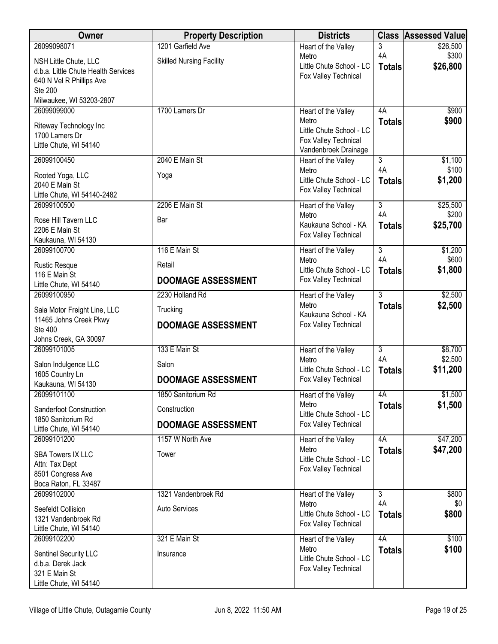| Owner                                        | <b>Property Description</b>     | <b>Districts</b>                                 | <b>Class</b>        | <b>Assessed Value</b> |
|----------------------------------------------|---------------------------------|--------------------------------------------------|---------------------|-----------------------|
| 26099098071                                  | 1201 Garfield Ave               | Heart of the Valley                              | 3                   | \$26,500              |
| NSH Little Chute, LLC                        | <b>Skilled Nursing Facility</b> | Metro                                            | 4A                  | \$300                 |
| d.b.a. Little Chute Health Services          |                                 | Little Chute School - LC<br>Fox Valley Technical | <b>Totals</b>       | \$26,800              |
| 640 N Vel R Phillips Ave                     |                                 |                                                  |                     |                       |
| Ste 200<br>Milwaukee, WI 53203-2807          |                                 |                                                  |                     |                       |
| 26099099000                                  | 1700 Lamers Dr                  | Heart of the Valley                              | 4A                  | \$900                 |
|                                              |                                 | Metro                                            | <b>Totals</b>       | \$900                 |
| Riteway Technology Inc<br>1700 Lamers Dr     |                                 | Little Chute School - LC                         |                     |                       |
| Little Chute, WI 54140                       |                                 | Fox Valley Technical                             |                     |                       |
| 26099100450                                  | 2040 E Main St                  | Vandenbroek Drainage<br>Heart of the Valley      | $\overline{3}$      | \$1,100               |
|                                              |                                 | Metro                                            | 4A                  | \$100                 |
| Rooted Yoga, LLC<br>2040 E Main St           | Yoga                            | Little Chute School - LC                         | <b>Totals</b>       | \$1,200               |
| Little Chute, WI 54140-2482                  |                                 | Fox Valley Technical                             |                     |                       |
| 26099100500                                  | 2206 E Main St                  | Heart of the Valley                              | $\overline{3}$      | \$25,500              |
| Rose Hill Tavern LLC                         | Bar                             | Metro                                            | 4A                  | \$200                 |
| 2206 E Main St                               |                                 | Kaukauna School - KA                             | <b>Totals</b>       | \$25,700              |
| Kaukauna, WI 54130                           |                                 | Fox Valley Technical                             |                     |                       |
| 26099100700                                  | 116 E Main St                   | Heart of the Valley                              | $\overline{3}$      | \$1,200               |
| <b>Rustic Resque</b>                         | Retail                          | Metro<br>Little Chute School - LC                | 4A                  | \$600                 |
| 116 E Main St                                | <b>DOOMAGE ASSESSMENT</b>       | Fox Valley Technical                             | <b>Totals</b>       | \$1,800               |
| Little Chute, WI 54140                       |                                 |                                                  |                     |                       |
| 26099100950                                  | 2230 Holland Rd                 | Heart of the Valley<br>Metro                     | $\overline{3}$      | \$2,500               |
| Saia Motor Freight Line, LLC                 | Trucking                        | Kaukauna School - KA                             | <b>Totals</b>       | \$2,500               |
| 11465 Johns Creek Pkwy<br><b>Ste 400</b>     | <b>DOOMAGE ASSESSMENT</b>       | Fox Valley Technical                             |                     |                       |
| Johns Creek, GA 30097                        |                                 |                                                  |                     |                       |
| 26099101005                                  | 133 E Main St                   | Heart of the Valley                              | $\overline{3}$      | \$8,700               |
| Salon Indulgence LLC                         | Salon                           | Metro                                            | 4A                  | \$2,500               |
| 1605 Country Ln                              |                                 | Little Chute School - LC                         | <b>Totals</b>       | \$11,200              |
| Kaukauna, WI 54130                           | <b>DOOMAGE ASSESSMENT</b>       | Fox Valley Technical                             |                     |                       |
| 26099101100                                  | 1850 Sanitorium Rd              | Heart of the Valley                              | 4A                  | \$1,500               |
| Sanderfoot Construction                      | Construction                    | Metro<br>Little Chute School - LC                | <b>Totals</b>       | \$1,500               |
| 1850 Sanitorium Rd<br>Little Chute, WI 54140 | <b>DOOMAGE ASSESSMENT</b>       | Fox Valley Technical                             |                     |                       |
| 26099101200                                  | 1157 W North Ave                | Heart of the Valley                              | 4A                  | \$47,200              |
|                                              |                                 | Metro                                            | <b>Totals</b>       | \$47,200              |
| <b>SBA Towers IX LLC</b><br>Attn: Tax Dept   | Tower                           | Little Chute School - LC                         |                     |                       |
| 8501 Congress Ave                            |                                 | Fox Valley Technical                             |                     |                       |
| Boca Raton, FL 33487                         |                                 |                                                  |                     |                       |
| 26099102000                                  | 1321 Vandenbroek Rd             | Heart of the Valley                              | $\overline{3}$      | \$800                 |
| Seefeldt Collision                           | <b>Auto Services</b>            | Metro<br>Little Chute School - LC                | 4A                  | \$0                   |
| 1321 Vandenbroek Rd                          |                                 | Fox Valley Technical                             | <b>Totals</b>       | \$800                 |
| Little Chute, WI 54140                       |                                 |                                                  |                     |                       |
| 26099102200                                  | 321 E Main St                   | Heart of the Valley<br>Metro                     | 4A<br><b>Totals</b> | \$100<br>\$100        |
| Sentinel Security LLC                        | Insurance                       | Little Chute School - LC                         |                     |                       |
| d.b.a. Derek Jack<br>321 E Main St           |                                 | Fox Valley Technical                             |                     |                       |
| Little Chute, WI 54140                       |                                 |                                                  |                     |                       |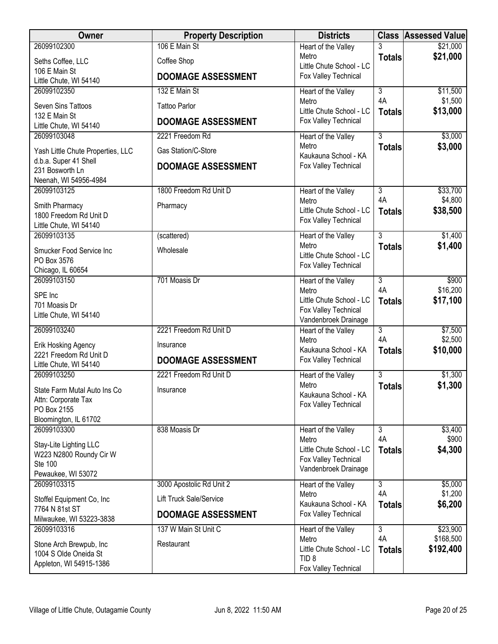| Owner                                               | <b>Property Description</b>    | <b>Districts</b>                             |                      | <b>Class Assessed Value</b> |
|-----------------------------------------------------|--------------------------------|----------------------------------------------|----------------------|-----------------------------|
| 26099102300                                         | 106 E Main St                  | Heart of the Valley                          |                      | \$21,000                    |
| Seths Coffee, LLC                                   | Coffee Shop                    | Metro<br>Little Chute School - LC            | <b>Totals</b>        | \$21,000                    |
| 106 E Main St                                       | <b>DOOMAGE ASSESSMENT</b>      | Fox Valley Technical                         |                      |                             |
| Little Chute, WI 54140<br>26099102350               | 132 E Main St                  |                                              | $\overline{3}$       |                             |
|                                                     |                                | Heart of the Valley<br>Metro                 | 4A                   | \$11,500<br>\$1,500         |
| Seven Sins Tattoos                                  | <b>Tattoo Parlor</b>           | Little Chute School - LC                     | <b>Totals</b>        | \$13,000                    |
| 132 E Main St<br>Little Chute, WI 54140             | <b>DOOMAGE ASSESSMENT</b>      | Fox Valley Technical                         |                      |                             |
| 26099103048                                         | 2221 Freedom Rd                | Heart of the Valley                          | $\overline{3}$       | \$3,000                     |
| Yash Little Chute Properties, LLC                   | Gas Station/C-Store            | Metro                                        | <b>Totals</b>        | \$3,000                     |
| d.b.a. Super 41 Shell                               |                                | Kaukauna School - KA<br>Fox Valley Technical |                      |                             |
| 231 Bosworth Ln                                     | <b>DOOMAGE ASSESSMENT</b>      |                                              |                      |                             |
| Neenah, WI 54956-4984<br>26099103125                |                                |                                              | $\overline{3}$       |                             |
|                                                     | 1800 Freedom Rd Unit D         | Heart of the Valley<br>Metro                 | 4A                   | \$33,700<br>\$4,800         |
| Smith Pharmacy                                      | Pharmacy                       | Little Chute School - LC                     | <b>Totals</b>        | \$38,500                    |
| 1800 Freedom Rd Unit D<br>Little Chute, WI 54140    |                                | Fox Valley Technical                         |                      |                             |
| 26099103135                                         | (scattered)                    | Heart of the Valley                          | $\overline{3}$       | \$1,400                     |
| Smucker Food Service Inc                            | Wholesale                      | Metro                                        | <b>Totals</b>        | \$1,400                     |
| PO Box 3576                                         |                                | Little Chute School - LC                     |                      |                             |
| Chicago, IL 60654                                   |                                | Fox Valley Technical                         |                      |                             |
| 26099103150                                         | 701 Moasis Dr                  | Heart of the Valley                          | $\overline{3}$<br>4A | \$900<br>\$16,200           |
| SPE Inc                                             |                                | Metro<br>Little Chute School - LC            | <b>Totals</b>        | \$17,100                    |
| 701 Moasis Dr                                       |                                | Fox Valley Technical                         |                      |                             |
| Little Chute, WI 54140                              |                                | Vandenbroek Drainage                         |                      |                             |
| 26099103240                                         | 2221 Freedom Rd Unit D         | Heart of the Valley                          | $\overline{3}$<br>4A | \$7,500                     |
| Erik Hosking Agency                                 | Insurance                      | Metro<br>Kaukauna School - KA                | <b>Totals</b>        | \$2,500<br>\$10,000         |
| 2221 Freedom Rd Unit D                              | <b>DOOMAGE ASSESSMENT</b>      | Fox Valley Technical                         |                      |                             |
| Little Chute, WI 54140<br>26099103250               | 2221 Freedom Rd Unit D         | Heart of the Valley                          | $\overline{3}$       | \$1,300                     |
|                                                     |                                | Metro                                        | <b>Totals</b>        | \$1,300                     |
| State Farm Mutal Auto Ins Co<br>Attn: Corporate Tax | Insurance                      | Kaukauna School - KA                         |                      |                             |
| PO Box 2155                                         |                                | Fox Valley Technical                         |                      |                             |
| Bloomington, IL 61702                               |                                |                                              |                      |                             |
| 26099103300                                         | 838 Moasis Dr                  | Heart of the Valley                          | $\overline{3}$       | \$3,400                     |
| Stay-Lite Lighting LLC                              |                                | Metro<br>Little Chute School - LC            | 4A                   | \$900<br>\$4,300            |
| W223 N2800 Roundy Cir W                             |                                | Fox Valley Technical                         | <b>Totals</b>        |                             |
| <b>Ste 100</b><br>Pewaukee, WI 53072                |                                | Vandenbroek Drainage                         |                      |                             |
| 26099103315                                         | 3000 Apostolic Rd Unit 2       | Heart of the Valley                          | $\overline{3}$       | \$5,000                     |
|                                                     | <b>Lift Truck Sale/Service</b> | Metro                                        | 4A                   | \$1,200                     |
| Stoffel Equipment Co, Inc.<br>7764 N 81st ST        |                                | Kaukauna School - KA                         | <b>Totals</b>        | \$6,200                     |
| Milwaukee, WI 53223-3838                            | <b>DOOMAGE ASSESSMENT</b>      | Fox Valley Technical                         |                      |                             |
| 26099103316                                         | 137 W Main St Unit C           | Heart of the Valley                          | $\overline{3}$       | \$23,900                    |
| Stone Arch Brewpub, Inc                             | Restaurant                     | Metro<br>Little Chute School - LC            | 4A<br><b>Totals</b>  | \$168,500<br>\$192,400      |
| 1004 S Olde Oneida St                               |                                | TID <sub>8</sub>                             |                      |                             |
| Appleton, WI 54915-1386                             |                                | Fox Valley Technical                         |                      |                             |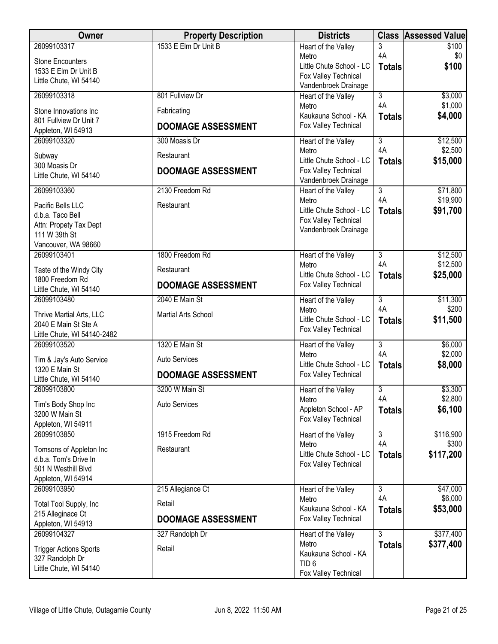| Owner                                      | <b>Property Description</b> | <b>Districts</b>                                 | <b>Class</b>         | <b>Assessed Value</b>  |
|--------------------------------------------|-----------------------------|--------------------------------------------------|----------------------|------------------------|
| 26099103317                                | 1533 E Elm Dr Unit B        | Heart of the Valley                              | 3                    | \$100                  |
| <b>Stone Encounters</b>                    |                             | Metro                                            | 4A                   | \$0                    |
| 1533 E Elm Dr Unit B                       |                             | Little Chute School - LC<br>Fox Valley Technical | <b>Totals</b>        | \$100                  |
| Little Chute, WI 54140                     |                             | Vandenbroek Drainage                             |                      |                        |
| 26099103318                                | 801 Fullview Dr             | Heart of the Valley                              | $\overline{3}$       | \$3,000                |
| Stone Innovations Inc                      | Fabricating                 | Metro                                            | 4A                   | \$1,000                |
| 801 Fullview Dr Unit 7                     |                             | Kaukauna School - KA                             | <b>Totals</b>        | \$4,000                |
| Appleton, WI 54913                         | <b>DOOMAGE ASSESSMENT</b>   | Fox Valley Technical                             |                      |                        |
| 26099103320                                | 300 Moasis Dr               | Heart of the Valley                              | $\overline{3}$       | \$12,500               |
| Subway                                     | Restaurant                  | Metro                                            | 4A                   | \$2,500                |
| 300 Moasis Dr                              |                             | Little Chute School - LC                         | <b>Totals</b>        | \$15,000               |
| Little Chute, WI 54140                     | <b>DOOMAGE ASSESSMENT</b>   | Fox Valley Technical<br>Vandenbroek Drainage     |                      |                        |
| 26099103360                                | 2130 Freedom Rd             | Heart of the Valley                              | $\overline{3}$       | \$71,800               |
| Pacific Bells LLC                          | Restaurant                  | Metro                                            | 4A                   | \$19,900               |
| d.b.a. Taco Bell                           |                             | Little Chute School - LC                         | <b>Totals</b>        | \$91,700               |
| Attn: Propety Tax Dept                     |                             | Fox Valley Technical                             |                      |                        |
| 111 W 39th St                              |                             | Vandenbroek Drainage                             |                      |                        |
| Vancouver, WA 98660                        |                             |                                                  |                      |                        |
| 26099103401                                | 1800 Freedom Rd             | Heart of the Valley                              | $\overline{3}$<br>4A | \$12,500               |
| Taste of the Windy City                    | Restaurant                  | Metro<br>Little Chute School - LC                | <b>Totals</b>        | \$12,500<br>\$25,000   |
| 1800 Freedom Rd                            | <b>DOOMAGE ASSESSMENT</b>   | Fox Valley Technical                             |                      |                        |
| Little Chute, WI 54140                     |                             |                                                  |                      |                        |
| 26099103480                                | 2040 E Main St              | Heart of the Valley<br>Metro                     | $\overline{3}$<br>4A | \$11,300<br>\$200      |
| Thrive Martial Arts, LLC                   | Martial Arts School         | Little Chute School - LC                         | <b>Totals</b>        | \$11,500               |
| 2040 E Main St Ste A                       |                             | Fox Valley Technical                             |                      |                        |
| Little Chute, WI 54140-2482<br>26099103520 | 1320 E Main St              | Heart of the Valley                              | 3                    | \$6,000                |
|                                            |                             | Metro                                            | 4A                   | \$2,000                |
| Tim & Jay's Auto Service                   | <b>Auto Services</b>        | Little Chute School - LC                         | <b>Totals</b>        | \$8,000                |
| 1320 E Main St<br>Little Chute, WI 54140   | <b>DOOMAGE ASSESSMENT</b>   | Fox Valley Technical                             |                      |                        |
| 26099103800                                | 3200 W Main St              | Heart of the Valley                              | $\overline{3}$       | \$3,300                |
|                                            | <b>Auto Services</b>        | Metro                                            | 4A                   | \$2,800                |
| Tim's Body Shop Inc<br>3200 W Main St      |                             | Appleton School - AP                             | <b>Totals</b>        | \$6,100                |
| Appleton, WI 54911                         |                             | Fox Valley Technical                             |                      |                        |
| 26099103850                                | 1915 Freedom Rd             | Heart of the Valley                              | 3                    | \$116,900              |
| Tomsons of Appleton Inc                    | Restaurant                  | Metro                                            | 4A                   | \$300                  |
| d.b.a. Tom's Drive In                      |                             | Little Chute School - LC                         | <b>Totals</b>        | \$117,200              |
| 501 N Westhill Blvd                        |                             | Fox Valley Technical                             |                      |                        |
| Appleton, WI 54914                         |                             |                                                  |                      |                        |
| 26099103950                                | 215 Allegiance Ct           | Heart of the Valley                              | $\overline{3}$<br>4A | \$47,000               |
| Total Tool Supply, Inc                     | Retail                      | Metro<br>Kaukauna School - KA                    | <b>Totals</b>        | \$6,000<br>\$53,000    |
| 215 Alleginace Ct                          | <b>DOOMAGE ASSESSMENT</b>   | Fox Valley Technical                             |                      |                        |
| Appleton, WI 54913<br>26099104327          |                             |                                                  |                      |                        |
|                                            | 327 Randolph Dr             | Heart of the Valley<br>Metro                     | $\overline{3}$       | \$377,400<br>\$377,400 |
| <b>Trigger Actions Sports</b>              | Retail                      | Kaukauna School - KA                             | <b>Totals</b>        |                        |
| 327 Randolph Dr                            |                             | TID <sub>6</sub>                                 |                      |                        |
| Little Chute, WI 54140                     |                             | Fox Valley Technical                             |                      |                        |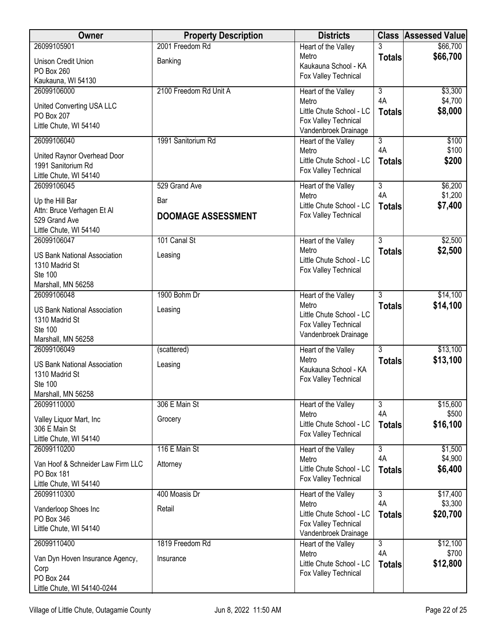| Owner                                                 | <b>Property Description</b> | <b>Districts</b>                                 |                      | <b>Class Assessed Value</b> |
|-------------------------------------------------------|-----------------------------|--------------------------------------------------|----------------------|-----------------------------|
| 26099105901                                           | 2001 Freedom Rd             | Heart of the Valley                              |                      | \$66,700                    |
| Unison Credit Union                                   | Banking                     | Metro<br>Kaukauna School - KA                    | <b>Totals</b>        | \$66,700                    |
| PO Box 260                                            |                             | Fox Valley Technical                             |                      |                             |
| Kaukauna, WI 54130                                    |                             |                                                  |                      |                             |
| 26099106000                                           | 2100 Freedom Rd Unit A      | Heart of the Valley<br>Metro                     | $\overline{3}$<br>4A | \$3,300<br>\$4,700          |
| United Converting USA LLC                             |                             | Little Chute School - LC                         | <b>Totals</b>        | \$8,000                     |
| PO Box 207                                            |                             | Fox Valley Technical                             |                      |                             |
| Little Chute, WI 54140                                |                             | Vandenbroek Drainage                             |                      |                             |
| 26099106040                                           | 1991 Sanitorium Rd          | Heart of the Valley                              | $\overline{3}$       | \$100                       |
| United Raynor Overhead Door                           |                             | Metro<br>Little Chute School - LC                | 4A                   | \$100                       |
| 1991 Sanitorium Rd                                    |                             | Fox Valley Technical                             | <b>Totals</b>        | \$200                       |
| Little Chute, WI 54140                                |                             |                                                  |                      |                             |
| 26099106045                                           | 529 Grand Ave               | Heart of the Valley<br>Metro                     | 3<br>4A              | \$6,200<br>\$1,200          |
| Up the Hill Bar                                       | Bar                         | Little Chute School - LC                         | <b>Totals</b>        | \$7,400                     |
| Attn: Bruce Verhagen Et Al                            | <b>DOOMAGE ASSESSMENT</b>   | Fox Valley Technical                             |                      |                             |
| 529 Grand Ave<br>Little Chute, WI 54140               |                             |                                                  |                      |                             |
| 26099106047                                           | 101 Canal St                | Heart of the Valley                              | $\overline{3}$       | \$2,500                     |
|                                                       |                             | Metro                                            | <b>Totals</b>        | \$2,500                     |
| <b>US Bank National Association</b><br>1310 Madrid St | Leasing                     | Little Chute School - LC                         |                      |                             |
| <b>Ste 100</b>                                        |                             | Fox Valley Technical                             |                      |                             |
| Marshall, MN 56258                                    |                             |                                                  |                      |                             |
| 26099106048                                           | 1900 Bohm Dr                | Heart of the Valley                              | $\overline{3}$       | \$14,100                    |
| <b>US Bank National Association</b>                   | Leasing                     | Metro                                            | <b>Totals</b>        | \$14,100                    |
| 1310 Madrid St                                        |                             | Little Chute School - LC<br>Fox Valley Technical |                      |                             |
| <b>Ste 100</b>                                        |                             | Vandenbroek Drainage                             |                      |                             |
| Marshall, MN 56258<br>26099106049                     |                             |                                                  | 3                    | \$13,100                    |
|                                                       | (scattered)                 | Heart of the Valley<br>Metro                     | <b>Totals</b>        | \$13,100                    |
| <b>US Bank National Association</b>                   | Leasing                     | Kaukauna School - KA                             |                      |                             |
| 1310 Madrid St<br>Ste 100                             |                             | Fox Valley Technical                             |                      |                             |
| Marshall, MN 56258                                    |                             |                                                  |                      |                             |
| 26099110000                                           | 306 E Main St               | Heart of the Valley                              | $\overline{3}$       | \$15,600                    |
| Valley Liquor Mart, Inc                               | Grocery                     | Metro                                            | 4A                   | \$500                       |
| 306 E Main St                                         |                             | Little Chute School - LC                         | <b>Totals</b>        | \$16,100                    |
| Little Chute, WI 54140                                |                             | Fox Valley Technical                             |                      |                             |
| 26099110200                                           | 116 E Main St               | Heart of the Valley                              | $\overline{3}$       | \$1,500                     |
| Van Hoof & Schneider Law Firm LLC                     | Attorney                    | Metro<br>Little Chute School - LC                | 4A                   | \$4,900                     |
| PO Box 181                                            |                             | Fox Valley Technical                             | <b>Totals</b>        | \$6,400                     |
| Little Chute, WI 54140                                |                             |                                                  |                      |                             |
| 26099110300                                           | 400 Moasis Dr               | Heart of the Valley<br>Metro                     | $\overline{3}$<br>4A | \$17,400<br>\$3,300         |
| Vanderloop Shoes Inc                                  | Retail                      | Little Chute School - LC                         | <b>Totals</b>        | \$20,700                    |
| PO Box 346                                            |                             | Fox Valley Technical                             |                      |                             |
| Little Chute, WI 54140                                |                             | Vandenbroek Drainage                             |                      |                             |
| 26099110400                                           | 1819 Freedom Rd             | Heart of the Valley                              | $\overline{3}$       | \$12,100                    |
| Van Dyn Hoven Insurance Agency,                       | Insurance                   | Metro<br>Little Chute School - LC                | 4A                   | \$700                       |
| Corp                                                  |                             | Fox Valley Technical                             | <b>Totals</b>        | \$12,800                    |
| PO Box 244                                            |                             |                                                  |                      |                             |
| Little Chute, WI 54140-0244                           |                             |                                                  |                      |                             |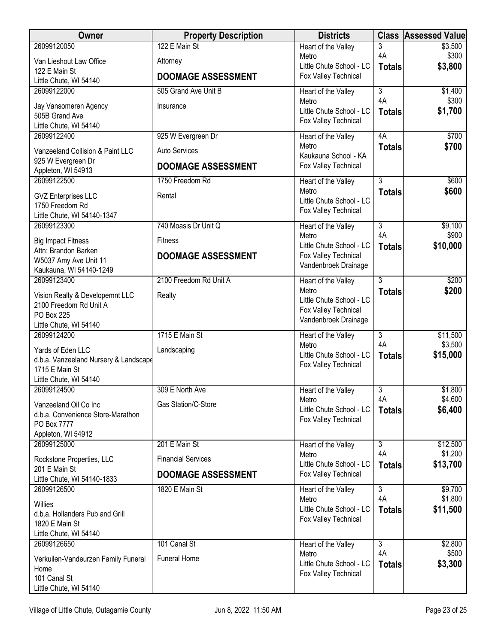| Owner                                                                                                    | <b>Property Description</b> | <b>Districts</b>                                                                  | <b>Class</b>        | <b>Assessed Value</b> |
|----------------------------------------------------------------------------------------------------------|-----------------------------|-----------------------------------------------------------------------------------|---------------------|-----------------------|
| 26099120050                                                                                              | 122 E Main St               | Heart of the Valley                                                               | 3                   | \$3,500               |
| Van Lieshout Law Office                                                                                  | Attorney                    | Metro<br>Little Chute School - LC                                                 | 4A                  | \$300<br>\$3,800      |
| 122 E Main St<br>Little Chute, WI 54140                                                                  | <b>DOOMAGE ASSESSMENT</b>   | Fox Valley Technical                                                              | <b>Totals</b>       |                       |
| 26099122000                                                                                              | 505 Grand Ave Unit B        | Heart of the Valley                                                               | $\overline{3}$      | \$1,400               |
| Jay Vansomeren Agency<br>505B Grand Ave<br>Little Chute, WI 54140                                        | Insurance                   | Metro<br>Little Chute School - LC<br>Fox Valley Technical                         | 4A<br><b>Totals</b> | \$300<br>\$1,700      |
| 26099122400                                                                                              | 925 W Evergreen Dr          | Heart of the Valley                                                               | 4A                  | \$700                 |
| Vanzeeland Collision & Paint LLC                                                                         | <b>Auto Services</b>        | Metro<br>Kaukauna School - KA                                                     | <b>Totals</b>       | \$700                 |
| 925 W Evergreen Dr<br>Appleton, WI 54913                                                                 | <b>DOOMAGE ASSESSMENT</b>   | Fox Valley Technical                                                              |                     |                       |
| 26099122500                                                                                              | 1750 Freedom Rd             | Heart of the Valley                                                               | $\overline{3}$      | \$600                 |
| <b>GVZ Enterprises LLC</b><br>1750 Freedom Rd<br>Little Chute, WI 54140-1347                             | Rental                      | Metro<br>Little Chute School - LC<br>Fox Valley Technical                         | <b>Totals</b>       | \$600                 |
| 26099123300                                                                                              | 740 Moasis Dr Unit Q        | Heart of the Valley                                                               | $\overline{3}$      | \$9,100               |
| <b>Big Impact Fitness</b>                                                                                | <b>Fitness</b>              | Metro<br>Little Chute School - LC                                                 | 4A<br><b>Totals</b> | \$900<br>\$10,000     |
| Attn: Brandon Barken<br>W5037 Amy Ave Unit 11                                                            | <b>DOOMAGE ASSESSMENT</b>   | Fox Valley Technical                                                              |                     |                       |
| Kaukauna, WI 54140-1249                                                                                  |                             | Vandenbroek Drainage                                                              |                     |                       |
| 26099123400                                                                                              | 2100 Freedom Rd Unit A      | Heart of the Valley                                                               | 3                   | \$200                 |
| Vision Realty & Developemnt LLC<br>2100 Freedom Rd Unit A<br><b>PO Box 225</b><br>Little Chute, WI 54140 | Realty                      | Metro<br>Little Chute School - LC<br>Fox Valley Technical<br>Vandenbroek Drainage | <b>Totals</b>       | \$200                 |
| 26099124200                                                                                              | 1715 E Main St              | Heart of the Valley                                                               | 3                   | \$11,500              |
| Yards of Eden LLC<br>d.b.a. Vanzeeland Nursery & Landscape<br>1715 E Main St<br>Little Chute, WI 54140   | Landscaping                 | Metro<br>Little Chute School - LC<br>Fox Valley Technical                         | 4A<br><b>Totals</b> | \$3,500<br>\$15,000   |
| 26099124500                                                                                              | 309 E North Ave             | Heart of the Valley                                                               | 3                   | \$1,800               |
| Vanzeeland Oil Co Inc<br>d.b.a. Convenience Store-Marathon<br>PO Box 7777<br>Appleton, WI 54912          | <b>Gas Station/C-Store</b>  | Metro<br>Little Chute School - LC<br>Fox Valley Technical                         | 4A<br><b>Totals</b> | \$4,600<br>\$6,400    |
| 26099125000                                                                                              | 201 E Main St               | Heart of the Valley                                                               | $\overline{3}$      | \$12,500              |
| Rockstone Properties, LLC                                                                                | <b>Financial Services</b>   | Metro<br>Little Chute School - LC                                                 | 4A<br><b>Totals</b> | \$1,200<br>\$13,700   |
| 201 E Main St<br>Little Chute, WI 54140-1833                                                             | <b>DOOMAGE ASSESSMENT</b>   | Fox Valley Technical                                                              |                     |                       |
| 26099126500                                                                                              | 1820 E Main St              | Heart of the Valley                                                               | 3                   | \$9,700               |
| <b>Willies</b><br>d.b.a. Hollanders Pub and Grill<br>1820 E Main St<br>Little Chute, WI 54140            |                             | Metro<br>Little Chute School - LC<br>Fox Valley Technical                         | 4A<br><b>Totals</b> | \$1,800<br>\$11,500   |
| 26099126650                                                                                              | 101 Canal St                | Heart of the Valley                                                               | 3                   | \$2,800               |
| Verkuilen-Vandeurzen Family Funeral<br>Home<br>101 Canal St<br>Little Chute, WI 54140                    | <b>Funeral Home</b>         | Metro<br>Little Chute School - LC<br>Fox Valley Technical                         | 4A<br><b>Totals</b> | \$500<br>\$3,300      |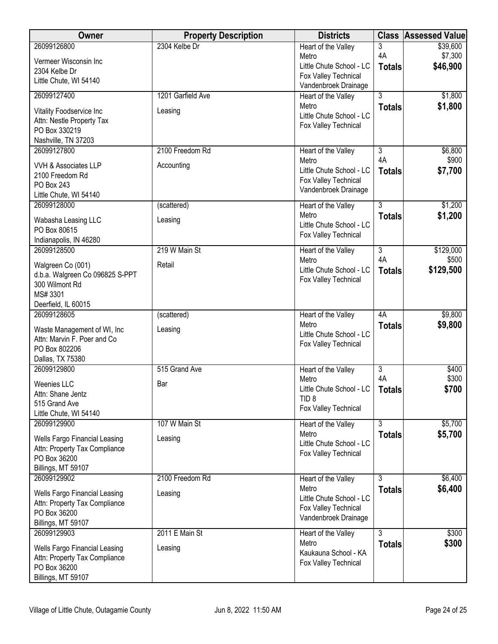| Owner                                                      | <b>Property Description</b> | <b>Districts</b>                                 | <b>Class</b>   | <b>Assessed Value</b> |
|------------------------------------------------------------|-----------------------------|--------------------------------------------------|----------------|-----------------------|
| 26099126800                                                | 2304 Kelbe Dr               | Heart of the Valley                              | 3              | \$39,600              |
| Vermeer Wisconsin Inc                                      |                             | Metro<br>Little Chute School - LC                | 4A             | \$7,300<br>\$46,900   |
| 2304 Kelbe Dr                                              |                             | Fox Valley Technical                             | <b>Totals</b>  |                       |
| Little Chute, WI 54140                                     |                             | Vandenbroek Drainage                             |                |                       |
| 26099127400                                                | 1201 Garfield Ave           | Heart of the Valley                              | $\overline{3}$ | \$1,800               |
| Vitality Foodservice Inc                                   | Leasing                     | Metro                                            | <b>Totals</b>  | \$1,800               |
| Attn: Nestle Property Tax                                  |                             | Little Chute School - LC                         |                |                       |
| PO Box 330219                                              |                             | Fox Valley Technical                             |                |                       |
| Nashville, TN 37203                                        |                             |                                                  |                |                       |
| 26099127800                                                | 2100 Freedom Rd             | Heart of the Valley                              | $\overline{3}$ | \$6,800               |
| VVH & Associates LLP                                       | Accounting                  | Metro                                            | 4A             | \$900                 |
| 2100 Freedom Rd                                            |                             | Little Chute School - LC<br>Fox Valley Technical | <b>Totals</b>  | \$7,700               |
| PO Box 243                                                 |                             | Vandenbroek Drainage                             |                |                       |
| Little Chute, WI 54140                                     |                             |                                                  |                |                       |
| 26099128000                                                | (scattered)                 | Heart of the Valley<br>Metro                     | $\overline{3}$ | \$1,200               |
| Wabasha Leasing LLC                                        | Leasing                     | Little Chute School - LC                         | <b>Totals</b>  | \$1,200               |
| PO Box 80615                                               |                             | Fox Valley Technical                             |                |                       |
| Indianapolis, IN 46280                                     |                             |                                                  |                |                       |
| 26099128500                                                | 219 W Main St               | Heart of the Valley<br>Metro                     | 3<br>4A        | \$129,000<br>\$500    |
| Walgreen Co (001)                                          | Retail                      | Little Chute School - LC                         | <b>Totals</b>  | \$129,500             |
| d.b.a. Walgreen Co 096825 S-PPT                            |                             | Fox Valley Technical                             |                |                       |
| 300 Wilmont Rd<br>MS# 3301                                 |                             |                                                  |                |                       |
| Deerfield, IL 60015                                        |                             |                                                  |                |                       |
| 26099128605                                                | (scattered)                 | Heart of the Valley                              | 4A             | \$9,800               |
|                                                            |                             | Metro                                            | <b>Totals</b>  | \$9,800               |
| Waste Management of WI, Inc<br>Attn: Marvin F. Poer and Co | Leasing                     | Little Chute School - LC                         |                |                       |
| PO Box 802206                                              |                             | Fox Valley Technical                             |                |                       |
| Dallas, TX 75380                                           |                             |                                                  |                |                       |
| 26099129800                                                | 515 Grand Ave               | Heart of the Valley                              | $\overline{3}$ | \$400                 |
| <b>Weenies LLC</b>                                         | Bar                         | Metro                                            | 4A             | \$300                 |
| Attn: Shane Jentz                                          |                             | Little Chute School - LC                         | <b>Totals</b>  | \$700                 |
| 515 Grand Ave                                              |                             | TID <sub>8</sub>                                 |                |                       |
| Little Chute, WI 54140                                     |                             | Fox Valley Technical                             |                |                       |
| 26099129900                                                | 107 W Main St               | Heart of the Valley                              | 3              | \$5,700               |
| Wells Fargo Financial Leasing                              | Leasing                     | Metro<br>Little Chute School - LC                | <b>Totals</b>  | \$5,700               |
| Attn: Property Tax Compliance                              |                             | Fox Valley Technical                             |                |                       |
| PO Box 36200                                               |                             |                                                  |                |                       |
| Billings, MT 59107                                         |                             |                                                  |                |                       |
| 26099129902                                                | 2100 Freedom Rd             | Heart of the Valley<br>Metro                     | $\overline{3}$ | \$6,400<br>\$6,400    |
| Wells Fargo Financial Leasing                              | Leasing                     | Little Chute School - LC                         | <b>Totals</b>  |                       |
| Attn: Property Tax Compliance                              |                             | Fox Valley Technical                             |                |                       |
| PO Box 36200<br>Billings, MT 59107                         |                             | Vandenbroek Drainage                             |                |                       |
| 26099129903                                                | 2011 E Main St              | Heart of the Valley                              | 3              | \$300                 |
|                                                            |                             | Metro                                            | <b>Totals</b>  | \$300                 |
| Wells Fargo Financial Leasing                              | Leasing                     | Kaukauna School - KA                             |                |                       |
| Attn: Property Tax Compliance<br>PO Box 36200              |                             | Fox Valley Technical                             |                |                       |
| Billings, MT 59107                                         |                             |                                                  |                |                       |